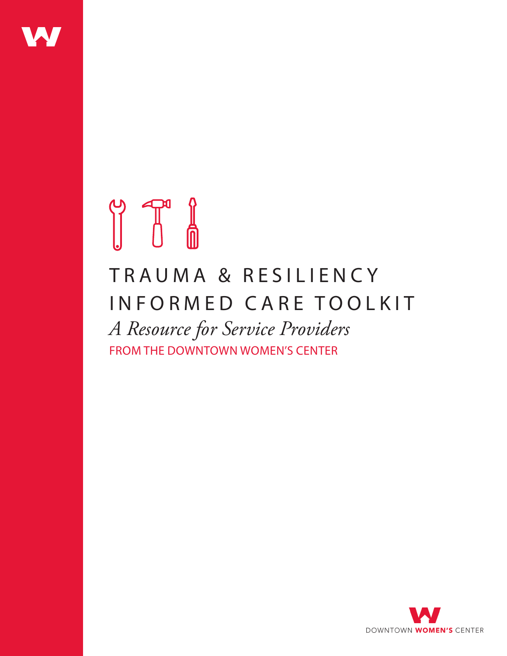

# 

# TRAUMA & RESILIENCY INFORMED CARE TOOLKIT *A Resource for Service Providers* FROM THE DOWNTOWN WOMEN'S CENTER

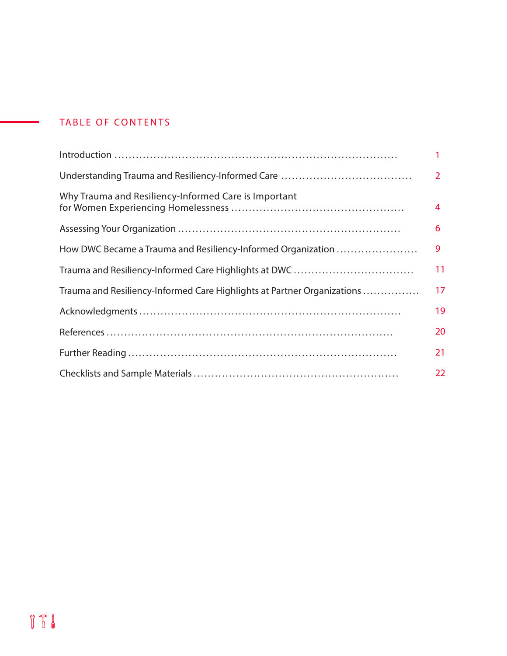### TABLE OF CONTENTS

|                                                                         | $\overline{2}$ |
|-------------------------------------------------------------------------|----------------|
| Why Trauma and Resiliency-Informed Care is Important                    | 4              |
|                                                                         | 6              |
| How DWC Became a Trauma and Resiliency-Informed Organization            | 9              |
|                                                                         | 11             |
| Trauma and Resiliency-Informed Care Highlights at Partner Organizations | 17             |
|                                                                         | 19             |
|                                                                         | 20             |
|                                                                         | 21             |
|                                                                         | 22             |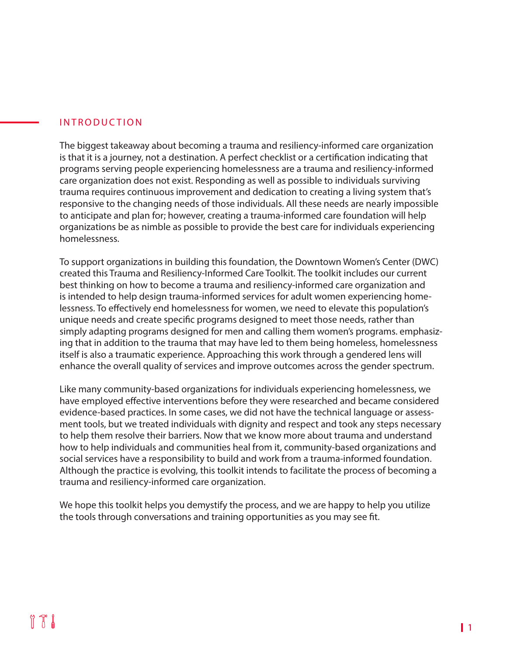#### INTRODUCTION

The biggest takeaway about becoming a trauma and resiliency-informed care organization is that it is a journey, not a destination. A perfect checklist or a certification indicating that programs serving people experiencing homelessness are a trauma and resiliency-informed care organization does not exist. Responding as well as possible to individuals surviving trauma requires continuous improvement and dedication to creating a living system that's responsive to the changing needs of those individuals. All these needs are nearly impossible to anticipate and plan for; however, creating a trauma-informed care foundation will help organizations be as nimble as possible to provide the best care for individuals experiencing homelessness.

To support organizations in building this foundation, the Downtown Women's Center (DWC) created this Trauma and Resiliency-Informed Care Toolkit. The toolkit includes our current best thinking on how to become a trauma and resiliency-informed care organization and is intended to help design trauma-informed services for adult women experiencing homelessness. To effectively end homelessness for women, we need to elevate this population's unique needs and create specific programs designed to meet those needs, rather than simply adapting programs designed for men and calling them women's programs. emphasizing that in addition to the trauma that may have led to them being homeless, homelessness itself is also a traumatic experience. Approaching this work through a gendered lens will enhance the overall quality of services and improve outcomes across the gender spectrum.

Like many community-based organizations for individuals experiencing homelessness, we have employed effective interventions before they were researched and became considered evidence-based practices. In some cases, we did not have the technical language or assessment tools, but we treated individuals with dignity and respect and took any steps necessary to help them resolve their barriers. Now that we know more about trauma and understand how to help individuals and communities heal from it, community-based organizations and social services have a responsibility to build and work from a trauma-informed foundation. Although the practice is evolving, this toolkit intends to facilitate the process of becoming a trauma and resiliency-informed care organization.

We hope this toolkit helps you demystify the process, and we are happy to help you utilize the tools through conversations and training opportunities as you may see fit.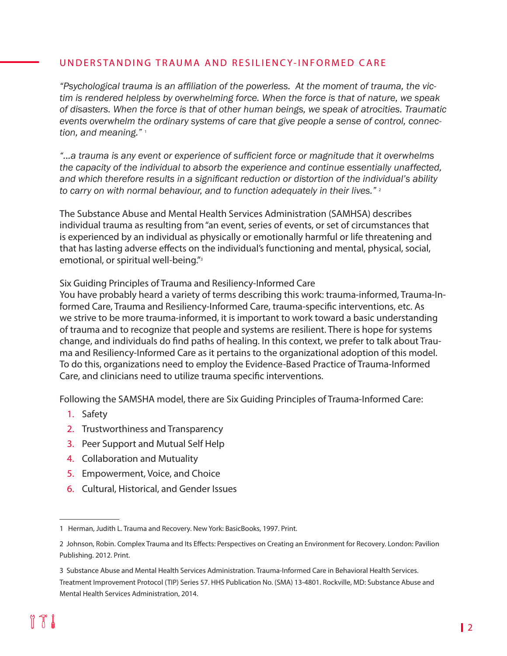#### UNDERSTANDING TRAUMA AND RESILIENCY-INFORMED CARE

*"Psychological trauma is an affiliation of the powerless. At the moment of trauma, the victim is rendered helpless by overwhelming force. When the force is that of nature, we speak of disasters. When the force is that of other human beings, we speak of atrocities. Traumatic events overwhelm the ordinary systems of care that give people a sense of control, connection, and meaning."* <sup>1</sup>

*"...a trauma is any event or experience of sufficient force or magnitude that it overwhelms the capacity of the individual to absorb the experience and continue essentially unaffected, and which therefore results in a significant reduction or distortion of the individual's ability to carry on with normal behaviour, and to function adequately in their lives."* <sup>2</sup>

The Substance Abuse and Mental Health Services Administration (SAMHSA) describes individual trauma as resulting from "an event, series of events, or set of circumstances that is experienced by an individual as physically or emotionally harmful or life threatening and that has lasting adverse effects on the individual's functioning and mental, physical, social, emotional, or spiritual well-being."<sup>3</sup>

Six Guiding Principles of Trauma and Resiliency-Informed Care

You have probably heard a variety of terms describing this work: trauma-informed, Trauma-Informed Care, Trauma and Resiliency-Informed Care, trauma-specific interventions, etc. As we strive to be more trauma-informed, it is important to work toward a basic understanding of trauma and to recognize that people and systems are resilient. There is hope for systems change, and individuals do find paths of healing. In this context, we prefer to talk about Trauma and Resiliency-Informed Care as it pertains to the organizational adoption of this model. To do this, organizations need to employ the Evidence-Based Practice of Trauma-Informed Care, and clinicians need to utilize trauma specific interventions.

Following the SAMSHA model, there are Six Guiding Principles of Trauma-Informed Care:

- 1. Safety
- 2. Trustworthiness and Transparency
- 3. Peer Support and Mutual Self Help
- 4. Collaboration and Mutuality
- 5. Empowerment, Voice, and Choice
- 6. Cultural, Historical, and Gender Issues

<sup>1</sup> Herman, Judith L. Trauma and Recovery. New York: BasicBooks, 1997. Print.

<sup>2</sup> Johnson, Robin. Complex Trauma and Its Effects: Perspectives on Creating an Environment for Recovery. London: Pavilion Publishing. 2012. Print.

<sup>3</sup> Substance Abuse and Mental Health Services Administration. Trauma-Informed Care in Behavioral Health Services. Treatment Improvement Protocol (TIP) Series 57. HHS Publication No. (SMA) 13-4801. Rockville, MD: Substance Abuse and Mental Health Services Administration, 2014.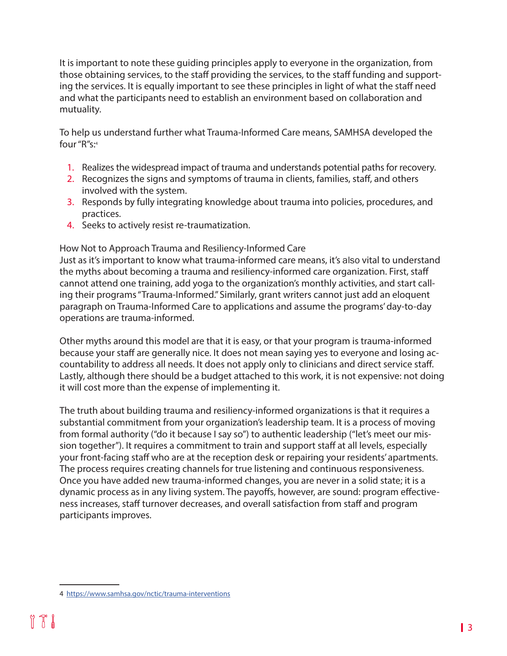It is important to note these guiding principles apply to everyone in the organization, from those obtaining services, to the staff providing the services, to the staff funding and supporting the services. It is equally important to see these principles in light of what the staff need and what the participants need to establish an environment based on collaboration and mutuality.

To help us understand further what Trauma-Informed Care means, SAMHSA developed the four "R"s:4

- 1. Realizes the widespread impact of trauma and understands potential paths for recovery.
- 2. Recognizes the signs and symptoms of trauma in clients, families, staff, and others involved with the system.
- 3. Responds by fully integrating knowledge about trauma into policies, procedures, and practices.
- 4. Seeks to actively resist re-traumatization.

#### How Not to Approach Trauma and Resiliency-Informed Care

Just as it's important to know what trauma-informed care means, it's also vital to understand the myths about becoming a trauma and resiliency-informed care organization. First, staff cannot attend one training, add yoga to the organization's monthly activities, and start calling their programs "Trauma-Informed." Similarly, grant writers cannot just add an eloquent paragraph on Trauma-Informed Care to applications and assume the programs' day-to-day operations are trauma-informed.

Other myths around this model are that it is easy, or that your program is trauma-informed because your staff are generally nice. It does not mean saying yes to everyone and losing accountability to address all needs. It does not apply only to clinicians and direct service staff. Lastly, although there should be a budget attached to this work, it is not expensive: not doing it will cost more than the expense of implementing it.

The truth about building trauma and resiliency-informed organizations is that it requires a substantial commitment from your organization's leadership team. It is a process of moving from formal authority ("do it because I say so") to authentic leadership ("let's meet our mission together"). It requires a commitment to train and support staff at all levels, especially your front-facing staff who are at the reception desk or repairing your residents' apartments. The process requires creating channels for true listening and continuous responsiveness. Once you have added new trauma-informed changes, you are never in a solid state; it is a dynamic process as in any living system. The payoffs, however, are sound: program effectiveness increases, staff turnover decreases, and overall satisfaction from staff and program participants improves.

<sup>4</sup> <https://www.samhsa.gov/nctic/trauma-interventions>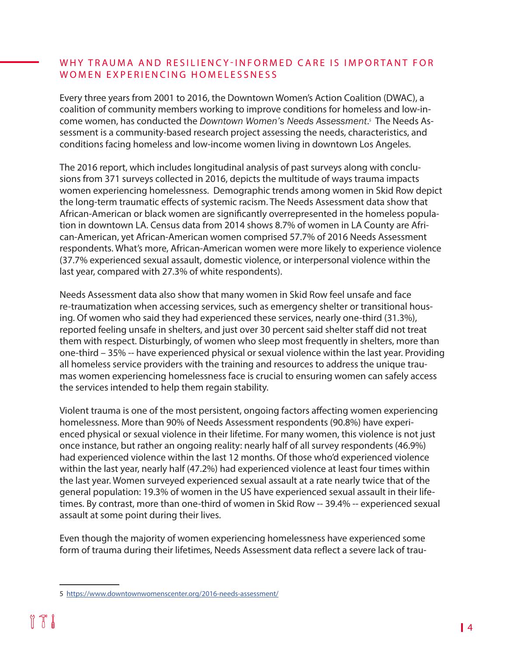#### WHY TRAUMA AND RESILIENCY-INFORMED CARE IS IMPORTANT FOR WOMEN EXPERIENCING HOMELESSNESS

Every three years from 2001 to 2016, the Downtown Women's Action Coalition (DWAC), a coalition of community members working to improve conditions for homeless and low-income women, has conducted the *Downtown Women's Needs Assessment*. 5 The Needs Assessment is a community-based research project assessing the needs, characteristics, and conditions facing homeless and low-income women living in downtown Los Angeles.

The 2016 report, which includes longitudinal analysis of past surveys along with conclusions from 371 surveys collected in 2016, depicts the multitude of ways trauma impacts women experiencing homelessness. Demographic trends among women in Skid Row depict the long-term traumatic effects of systemic racism. The Needs Assessment data show that African-American or black women are significantly overrepresented in the homeless population in downtown LA. Census data from 2014 shows 8.7% of women in LA County are African-American, yet African-American women comprised 57.7% of 2016 Needs Assessment respondents. What's more, African-American women were more likely to experience violence (37.7% experienced sexual assault, domestic violence, or interpersonal violence within the last year, compared with 27.3% of white respondents).

Needs Assessment data also show that many women in Skid Row feel unsafe and face re-traumatization when accessing services, such as emergency shelter or transitional housing. Of women who said they had experienced these services, nearly one-third (31.3%), reported feeling unsafe in shelters, and just over 30 percent said shelter staff did not treat them with respect. Disturbingly, of women who sleep most frequently in shelters, more than one-third – 35% -- have experienced physical or sexual violence within the last year. Providing all homeless service providers with the training and resources to address the unique traumas women experiencing homelessness face is crucial to ensuring women can safely access the services intended to help them regain stability.

Violent trauma is one of the most persistent, ongoing factors affecting women experiencing homelessness. More than 90% of Needs Assessment respondents (90.8%) have experienced physical or sexual violence in their lifetime. For many women, this violence is not just once instance, but rather an ongoing reality: nearly half of all survey respondents (46.9%) had experienced violence within the last 12 months. Of those who'd experienced violence within the last year, nearly half (47.2%) had experienced violence at least four times within the last year. Women surveyed experienced sexual assault at a rate nearly twice that of the general population: 19.3% of women in the US have experienced sexual assault in their lifetimes. By contrast, more than one-third of women in Skid Row -- 39.4% -- experienced sexual assault at some point during their lives.

Even though the majority of women experiencing homelessness have experienced some form of trauma during their lifetimes, Needs Assessment data reflect a severe lack of trau-

<sup>5</sup> <https://www.downtownwomenscenter.org/2016-needs-assessment/>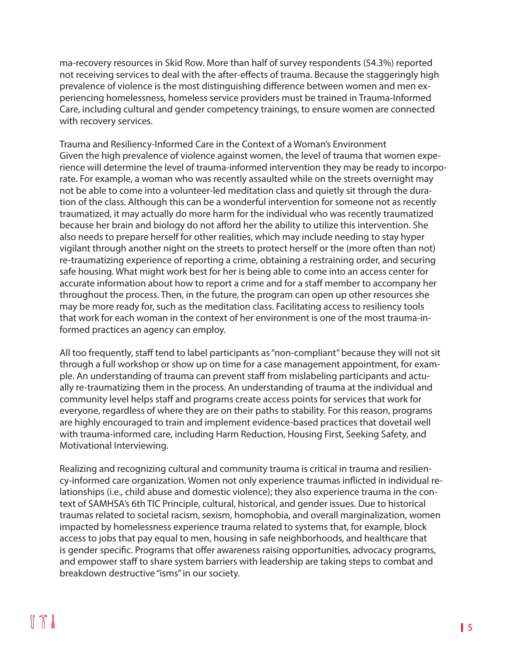ma-recovery resources in Skid Row. More than half of survey respondents (54.3%) reported not receiving services to deal with the after-effects of trauma. Because the staggeringly high prevalence of violence is the most distinguishing difference between women and men experiencing homelessness, homeless service providers must be trained in Trauma-Informed Care, including cultural and gender competency trainings, to ensure women are connected with recovery services.

Trauma and Resiliency-Informed Care in the Context of a Woman's Environment Given the high prevalence of violence against women, the level of trauma that women experience will determine the level of trauma-informed intervention they may be ready to incorporate. For example, a woman who was recently assaulted while on the streets overnight may not be able to come into a volunteer-led meditation class and quietly sit through the duration of the class. Although this can be a wonderful intervention for someone not as recently traumatized, it may actually do more harm for the individual who was recently traumatized because her brain and biology do not afford her the ability to utilize this intervention. She also needs to prepare herself for other realities, which may include needing to stay hyper vigilant through another night on the streets to protect herself or the (more often than not) re-traumatizing experience of reporting a crime, obtaining a restraining order, and securing safe housing. What might work best for her is being able to come into an access center for accurate information about how to report a crime and for a staff member to accompany her throughout the process. Then, in the future, the program can open up other resources she may be more ready for, such as the meditation class. Facilitating access to resiliency tools that work for each woman in the context of her environment is one of the most trauma-informed practices an agency can employ.

All too frequently, staff tend to label participants as "non-compliant" because they will not sit through a full workshop or show up on time for a case management appointment, for example. An understanding of trauma can prevent staff from mislabeling participants and actually re-traumatizing them in the process. An understanding of trauma at the individual and community level helps staff and programs create access points for services that work for everyone, regardless of where they are on their paths to stability. For this reason, programs are highly encouraged to train and implement evidence-based practices that dovetail well with trauma-informed care, including Harm Reduction, Housing First, Seeking Safety, and Motivational Interviewing.

Realizing and recognizing cultural and community trauma is critical in trauma and resiliency-informed care organization. Women not only experience traumas inflicted in individual relationships (i.e., child abuse and domestic violence); they also experience trauma in the context of SAMHSA's 6th TIC Principle, cultural, historical, and gender issues. Due to historical traumas related to societal racism, sexism, homophobia, and overall marginalization, women impacted by homelessness experience trauma related to systems that, for example, block access to jobs that pay equal to men, housing in safe neighborhoods, and healthcare that is gender specific. Programs that offer awareness raising opportunities, advocacy programs, and empower staff to share system barriers with leadership are taking steps to combat and breakdown destructive "isms" in our society.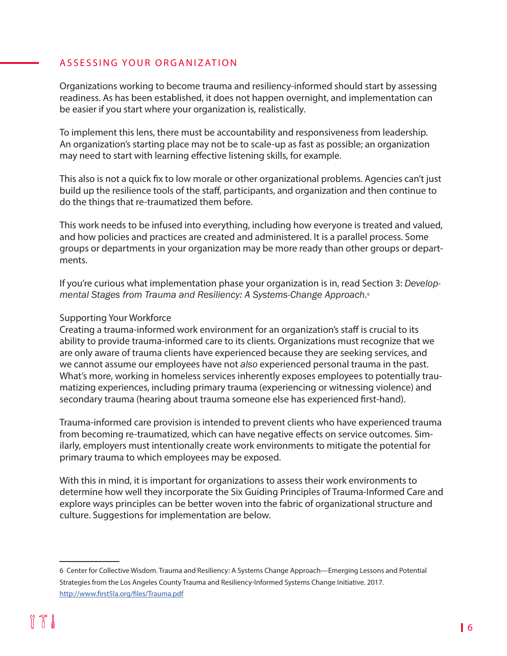#### ASSESSING YOUR ORGANIZATION

Organizations working to become trauma and resiliency-informed should start by assessing readiness. As has been established, it does not happen overnight, and implementation can be easier if you start where your organization is, realistically.

To implement this lens, there must be accountability and responsiveness from leadership. An organization's starting place may not be to scale-up as fast as possible; an organization may need to start with learning effective listening skills, for example.

This also is not a quick fix to low morale or other organizational problems. Agencies can't just build up the resilience tools of the staff, participants, and organization and then continue to do the things that re-traumatized them before.

This work needs to be infused into everything, including how everyone is treated and valued, and how policies and practices are created and administered. It is a parallel process. Some groups or departments in your organization may be more ready than other groups or departments.

If you're curious what implementation phase your organization is in, read Section 3: *Developmental Stages from Trauma and Resiliency: A Systems-Change Approach.*<sup>6</sup>

#### Supporting Your Workforce

Creating a trauma-informed work environment for an organization's staff is crucial to its ability to provide trauma-informed care to its clients. Organizations must recognize that we are only aware of trauma clients have experienced because they are seeking services, and we cannot assume our employees have not *also* experienced personal trauma in the past. What's more, working in homeless services inherently exposes employees to potentially traumatizing experiences, including primary trauma (experiencing or witnessing violence) and secondary trauma (hearing about trauma someone else has experienced first-hand).

Trauma-informed care provision is intended to prevent clients who have experienced trauma from becoming re-traumatized, which can have negative effects on service outcomes. Similarly, employers must intentionally create work environments to mitigate the potential for primary trauma to which employees may be exposed.

With this in mind, it is important for organizations to assess their work environments to determine how well they incorporate the Six Guiding Principles of Trauma-Informed Care and explore ways principles can be better woven into the fabric of organizational structure and culture. Suggestions for implementation are below.

<sup>6</sup> Center for Collective Wisdom. Trauma and Resiliency: A Systems Change Approach—Emerging Lessons and Potential Strategies from the Los Angeles County Trauma and Resiliency-Informed Systems Change Initiative. 2017. <http://www.first5la.org/files/Trauma.pdf>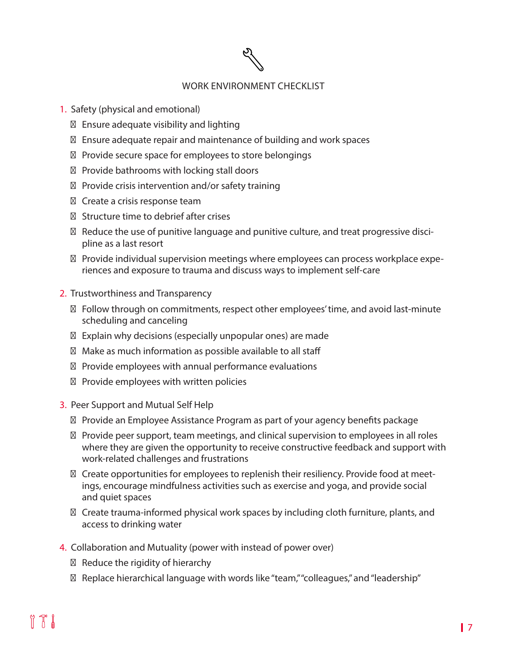#### WORK ENVIRONMENT CHECKLIST

- 1. Safety (physical and emotional)
	- Ensure adequate visibility and lighting
	- Ensure adequate repair and maintenance of building and work spaces
	- Provide secure space for employees to store belongings
	- Provide bathrooms with locking stall doors
	- Provide crisis intervention and/or safety training
	- Create a crisis response team
	- Structure time to debrief after crises
	- Reduce the use of punitive language and punitive culture, and treat progressive discipline as a last resort
	- Provide individual supervision meetings where employees can process workplace experiences and exposure to trauma and discuss ways to implement self-care
- 2. Trustworthiness and Transparency
	- Follow through on commitments, respect other employees' time, and avoid last-minute scheduling and canceling
	- Explain why decisions (especially unpopular ones) are made
	- Make as much information as possible available to all staff
	- Provide employees with annual performance evaluations
	- Provide employees with written policies
- 3. Peer Support and Mutual Self Help
	- Provide an Employee Assistance Program as part of your agency benefits package
	- Provide peer support, team meetings, and clinical supervision to employees in all roles where they are given the opportunity to receive constructive feedback and support with work-related challenges and frustrations
	- Create opportunities for employees to replenish their resiliency. Provide food at meetings, encourage mindfulness activities such as exercise and yoga, and provide social and quiet spaces
	- Create trauma-informed physical work spaces by including cloth furniture, plants, and access to drinking water
- 4. Collaboration and Mutuality (power with instead of power over)
	- Reduce the rigidity of hierarchy
	- Replace hierarchical language with words like "team," "colleagues," and "leadership"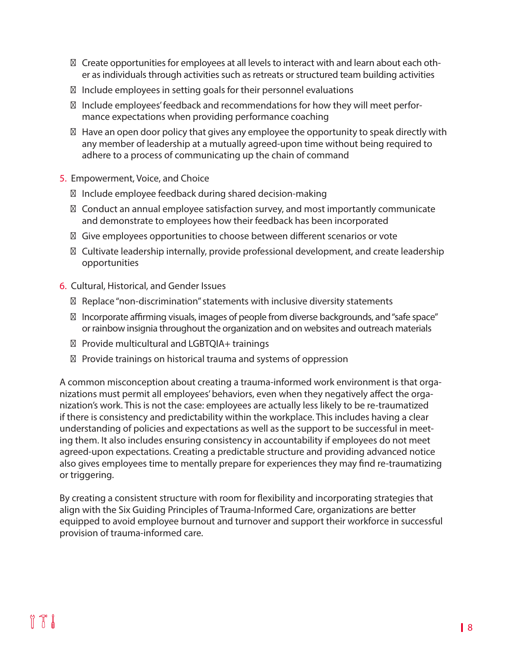Create opportunities for employees at all levels to interact with and learn about each other as individuals through activities such as retreats or structured team building activities

Include employees in setting goals for their personnel evaluations

Include employees' feedback and recommendations for how they will meet performance expectations when providing performance coaching

Have an open door policy that gives any employee the opportunity to speak directly with any member of leadership at a mutually agreed-upon time without being required to adhere to a process of communicating up the chain of command

5. Empowerment, Voice, and Choice

Include employee feedback during shared decision-making

Conduct an annual employee satisfaction survey, and most importantly communicate and demonstrate to employees how their feedback has been incorporated

Give employees opportunities to choose between different scenarios or vote

Cultivate leadership internally, provide professional development, and create leadership opportunities

#### 6. Cultural, Historical, and Gender Issues

Replace "non-discrimination" statements with inclusive diversity statements

Incorporate affirming visuals, images of people from diverse backgrounds, and "safe space" or rainbow insignia throughout the organization and on websites and outreach materials

Provide multicultural and LGBTQIA+ trainings

Provide trainings on historical trauma and systems of oppression

A common misconception about creating a trauma-informed work environment is that organizations must permit all employees' behaviors, even when they negatively affect the organization's work. This is not the case: employees are actually less likely to be re-traumatized if there is consistency and predictability within the workplace. This includes having a clear understanding of policies and expectations as well as the support to be successful in meeting them. It also includes ensuring consistency in accountability if employees do not meet agreed-upon expectations. Creating a predictable structure and providing advanced notice also gives employees time to mentally prepare for experiences they may find re-traumatizing or triggering.

By creating a consistent structure with room for flexibility and incorporating strategies that align with the Six Guiding Principles of Trauma-Informed Care, organizations are better equipped to avoid employee burnout and turnover and support their workforce in successful provision of trauma-informed care.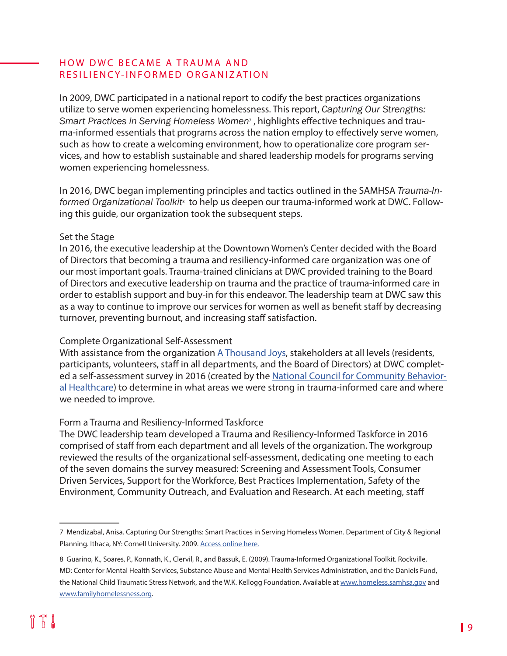#### HOW DWC BECAME A TRAUMA AND RESILIENCY-INFORMED ORGANIZATION

In 2009, DWC participated in a national report to codify the best practices organizations utilize to serve women experiencing homelessness. This report, *Capturing Our Strengths:*  Smart Practices in Serving Homeless Women<sup>,</sup>, highlights effective techniques and trauma-informed essentials that programs across the nation employ to effectively serve women, such as how to create a welcoming environment, how to operationalize core program services, and how to establish sustainable and shared leadership models for programs serving women experiencing homelessness.

In 2016, DWC began implementing principles and tactics outlined in the SAMHSA *Trauma-In*formed Organizational Toolkit<sup>8</sup> to help us deepen our trauma-informed work at DWC. Following this guide, our organization took the subsequent steps.

#### Set the Stage

In 2016, the executive leadership at the Downtown Women's Center decided with the Board of Directors that becoming a trauma and resiliency-informed care organization was one of our most important goals. Trauma-trained clinicians at DWC provided training to the Board of Directors and executive leadership on trauma and the practice of trauma-informed care in order to establish support and buy-in for this endeavor. The leadership team at DWC saw this as a way to continue to improve our services for women as well as benefit staff by decreasing turnover, preventing burnout, and increasing staff satisfaction.

#### Complete Organizational Self-Assessment

With assistance from the organization [A Thousand Joys](http://athousandjoys.org/), stakeholders at all levels (residents, participants, volunteers, staff in all departments, and the Board of Directors) at DWC complet-ed a self-assessment survey in 2016 (created by the [National Council for Community Behavior](https://www.thenationalcouncil.org/)[al Healthcare](https://www.thenationalcouncil.org/)) to determine in what areas we were strong in trauma-informed care and where we needed to improve.

#### Form a Trauma and Resiliency-Informed Taskforce

The DWC leadership team developed a Trauma and Resiliency-Informed Taskforce in 2016 comprised of staff from each department and all levels of the organization. The workgroup reviewed the results of the organizational self-assessment, dedicating one meeting to each of the seven domains the survey measured: Screening and Assessment Tools, Consumer Driven Services, Support for the Workforce, Best Practices Implementation, Safety of the Environment, Community Outreach, and Evaluation and Research. At each meeting, staff

<sup>7</sup> Mendizabal, Anisa. Capturing Our Strengths: Smart Practices in Serving Homeless Women. Department of City & Regional Planning. Ithaca, NY: Cornell University. 2009. [Access online here.](https://www.downtownwomenscenter.org/wp-content/uploads/2018/07/Capturing-our-Strengths_Smart-Practices-in-Serving-Homeless-Women.pdf)

<sup>8</sup> Guarino, K., Soares, P., Konnath, K., Clervil, R., and Bassuk, E. (2009). Trauma-Informed Organizational Toolkit. Rockville, MD: Center for Mental Health Services, Substance Abuse and Mental Health Services Administration, and the Daniels Fund, the National Child Traumatic Stress Network, and the W.K. Kellogg Foundation. Available at [www.homeless.samhsa.gov](http://www.homeless.samhsa.gov) and [www.familyhomelessness.org](http://www.familyhomelessness.org).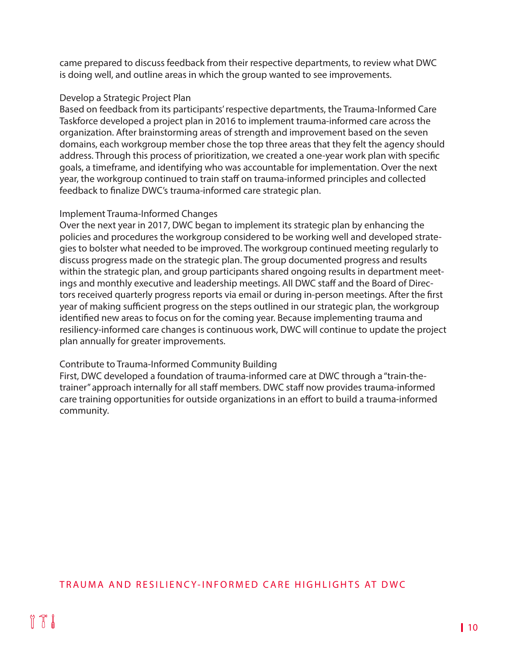came prepared to discuss feedback from their respective departments, to review what DWC is doing well, and outline areas in which the group wanted to see improvements.

#### Develop a Strategic Project Plan

Based on feedback from its participants' respective departments, the Trauma-Informed Care Taskforce developed a project plan in 2016 to implement trauma-informed care across the organization. After brainstorming areas of strength and improvement based on the seven domains, each workgroup member chose the top three areas that they felt the agency should address. Through this process of prioritization, we created a one-year work plan with specific goals, a timeframe, and identifying who was accountable for implementation. Over the next year, the workgroup continued to train staff on trauma-informed principles and collected feedback to finalize DWC's trauma-informed care strategic plan.

#### Implement Trauma-Informed Changes

Over the next year in 2017, DWC began to implement its strategic plan by enhancing the policies and procedures the workgroup considered to be working well and developed strategies to bolster what needed to be improved. The workgroup continued meeting regularly to discuss progress made on the strategic plan. The group documented progress and results within the strategic plan, and group participants shared ongoing results in department meetings and monthly executive and leadership meetings. All DWC staff and the Board of Directors received quarterly progress reports via email or during in-person meetings. After the first year of making sufficient progress on the steps outlined in our strategic plan, the workgroup identified new areas to focus on for the coming year. Because implementing trauma and resiliency-informed care changes is continuous work, DWC will continue to update the project plan annually for greater improvements.

#### Contribute to Trauma-Informed Community Building

First, DWC developed a foundation of trauma-informed care at DWC through a "train-thetrainer" approach internally for all staff members. DWC staff now provides trauma-informed care training opportunities for outside organizations in an effort to build a trauma-informed community.

#### TRAUMA AND RESILIENCY-INFORMED CARE HIGHLIGHTS AT DWC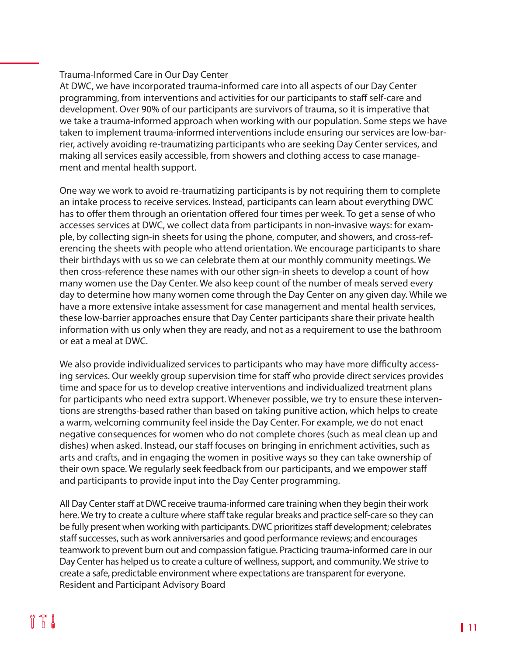#### Trauma-Informed Care in Our Day Center

At DWC, we have incorporated trauma-informed care into all aspects of our Day Center programming, from interventions and activities for our participants to staff self-care and development. Over 90% of our participants are survivors of trauma, so it is imperative that we take a trauma-informed approach when working with our population. Some steps we have taken to implement trauma-informed interventions include ensuring our services are low-barrier, actively avoiding re-traumatizing participants who are seeking Day Center services, and making all services easily accessible, from showers and clothing access to case management and mental health support.

One way we work to avoid re-traumatizing participants is by not requiring them to complete an intake process to receive services. Instead, participants can learn about everything DWC has to offer them through an orientation offered four times per week. To get a sense of who accesses services at DWC, we collect data from participants in non-invasive ways: for example, by collecting sign-in sheets for using the phone, computer, and showers, and cross-referencing the sheets with people who attend orientation. We encourage participants to share their birthdays with us so we can celebrate them at our monthly community meetings. We then cross-reference these names with our other sign-in sheets to develop a count of how many women use the Day Center. We also keep count of the number of meals served every day to determine how many women come through the Day Center on any given day. While we have a more extensive intake assessment for case management and mental health services, these low-barrier approaches ensure that Day Center participants share their private health information with us only when they are ready, and not as a requirement to use the bathroom or eat a meal at DWC.

We also provide individualized services to participants who may have more difficulty accessing services. Our weekly group supervision time for staff who provide direct services provides time and space for us to develop creative interventions and individualized treatment plans for participants who need extra support. Whenever possible, we try to ensure these interventions are strengths-based rather than based on taking punitive action, which helps to create a warm, welcoming community feel inside the Day Center. For example, we do not enact negative consequences for women who do not complete chores (such as meal clean up and dishes) when asked. Instead, our staff focuses on bringing in enrichment activities, such as arts and crafts, and in engaging the women in positive ways so they can take ownership of their own space. We regularly seek feedback from our participants, and we empower staff and participants to provide input into the Day Center programming.

All Day Center staff at DWC receive trauma-informed care training when they begin their work here. We try to create a culture where staff take regular breaks and practice self-care so they can be fully present when working with participants. DWC prioritizes staff development; celebrates staff successes, such as work anniversaries and good performance reviews; and encourages teamwork to prevent burn out and compassion fatigue. Practicing trauma-informed care in our Day Center has helped us to create a culture of wellness, support, and community. We strive to create a safe, predictable environment where expectations are transparent for everyone. Resident and Participant Advisory Board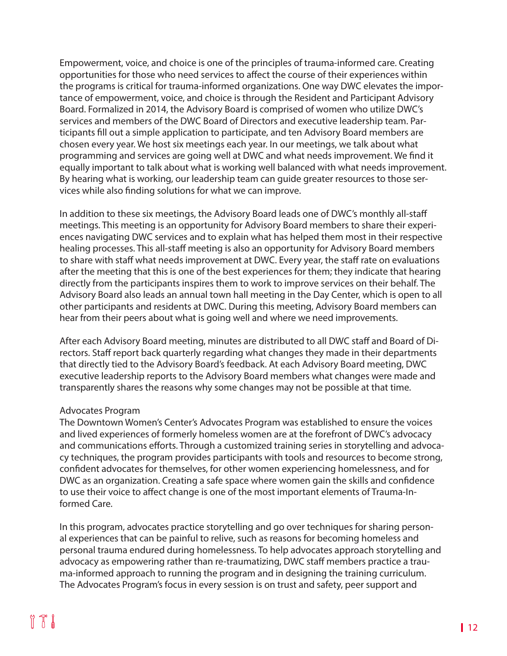Empowerment, voice, and choice is one of the principles of trauma-informed care. Creating opportunities for those who need services to affect the course of their experiences within the programs is critical for trauma-informed organizations. One way DWC elevates the importance of empowerment, voice, and choice is through the Resident and Participant Advisory Board. Formalized in 2014, the Advisory Board is comprised of women who utilize DWC's services and members of the DWC Board of Directors and executive leadership team. Participants fill out a simple application to participate, and ten Advisory Board members are chosen every year. We host six meetings each year. In our meetings, we talk about what programming and services are going well at DWC and what needs improvement. We find it equally important to talk about what is working well balanced with what needs improvement. By hearing what is working, our leadership team can guide greater resources to those services while also finding solutions for what we can improve.

In addition to these six meetings, the Advisory Board leads one of DWC's monthly all-staff meetings. This meeting is an opportunity for Advisory Board members to share their experiences navigating DWC services and to explain what has helped them most in their respective healing processes. This all-staff meeting is also an opportunity for Advisory Board members to share with staff what needs improvement at DWC. Every year, the staff rate on evaluations after the meeting that this is one of the best experiences for them; they indicate that hearing directly from the participants inspires them to work to improve services on their behalf. The Advisory Board also leads an annual town hall meeting in the Day Center, which is open to all other participants and residents at DWC. During this meeting, Advisory Board members can hear from their peers about what is going well and where we need improvements.

After each Advisory Board meeting, minutes are distributed to all DWC staff and Board of Directors. Staff report back quarterly regarding what changes they made in their departments that directly tied to the Advisory Board's feedback. At each Advisory Board meeting, DWC executive leadership reports to the Advisory Board members what changes were made and transparently shares the reasons why some changes may not be possible at that time.

#### Advocates Program

The Downtown Women's Center's Advocates Program was established to ensure the voices and lived experiences of formerly homeless women are at the forefront of DWC's advocacy and communications efforts. Through a customized training series in storytelling and advocacy techniques, the program provides participants with tools and resources to become strong, confident advocates for themselves, for other women experiencing homelessness, and for DWC as an organization. Creating a safe space where women gain the skills and confidence to use their voice to affect change is one of the most important elements of Trauma-Informed Care.

In this program, advocates practice storytelling and go over techniques for sharing personal experiences that can be painful to relive, such as reasons for becoming homeless and personal trauma endured during homelessness. To help advocates approach storytelling and advocacy as empowering rather than re-traumatizing, DWC staff members practice a trauma-informed approach to running the program and in designing the training curriculum. The Advocates Program's focus in every session is on trust and safety, peer support and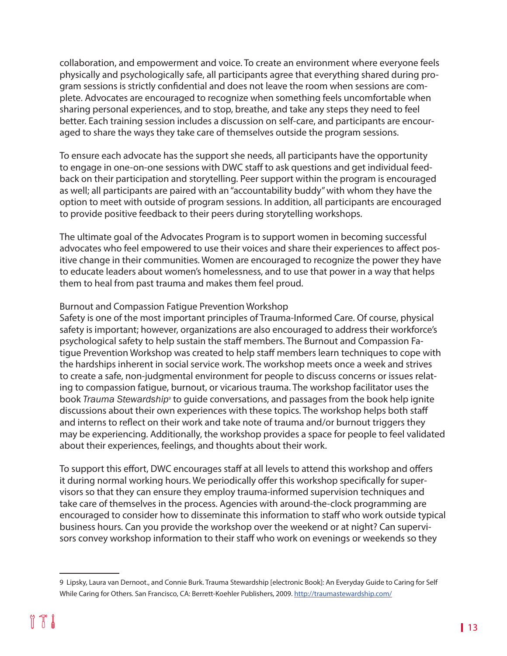collaboration, and empowerment and voice. To create an environment where everyone feels physically and psychologically safe, all participants agree that everything shared during program sessions is strictly confidential and does not leave the room when sessions are complete. Advocates are encouraged to recognize when something feels uncomfortable when sharing personal experiences, and to stop, breathe, and take any steps they need to feel better. Each training session includes a discussion on self-care, and participants are encouraged to share the ways they take care of themselves outside the program sessions.

To ensure each advocate has the support she needs, all participants have the opportunity to engage in one-on-one sessions with DWC staff to ask questions and get individual feedback on their participation and storytelling. Peer support within the program is encouraged as well; all participants are paired with an "accountability buddy" with whom they have the option to meet with outside of program sessions. In addition, all participants are encouraged to provide positive feedback to their peers during storytelling workshops.

The ultimate goal of the Advocates Program is to support women in becoming successful advocates who feel empowered to use their voices and share their experiences to affect positive change in their communities. Women are encouraged to recognize the power they have to educate leaders about women's homelessness, and to use that power in a way that helps them to heal from past trauma and makes them feel proud.

#### Burnout and Compassion Fatigue Prevention Workshop

Safety is one of the most important principles of Trauma-Informed Care. Of course, physical safety is important; however, organizations are also encouraged to address their workforce's psychological safety to help sustain the staff members. The Burnout and Compassion Fatigue Prevention Workshop was created to help staff members learn techniques to cope with the hardships inherent in social service work. The workshop meets once a week and strives to create a safe, non-judgmental environment for people to discuss concerns or issues relating to compassion fatigue, burnout, or vicarious trauma. The workshop facilitator uses the book *Trauma Stewardship*<sup>9</sup> to guide conversations, and passages from the book help ignite discussions about their own experiences with these topics. The workshop helps both staff and interns to reflect on their work and take note of trauma and/or burnout triggers they may be experiencing. Additionally, the workshop provides a space for people to feel validated about their experiences, feelings, and thoughts about their work.

To support this effort, DWC encourages staff at all levels to attend this workshop and offers it during normal working hours. We periodically offer this workshop specifically for supervisors so that they can ensure they employ trauma-informed supervision techniques and take care of themselves in the process. Agencies with around-the-clock programming are encouraged to consider how to disseminate this information to staff who work outside typical business hours. Can you provide the workshop over the weekend or at night? Can supervisors convey workshop information to their staff who work on evenings or weekends so they

<sup>9</sup> Lipsky, Laura van Dernoot., and Connie Burk. Trauma Stewardship [electronic Book]: An Everyday Guide to Caring for Self While Caring for Others. San Francisco, CA: Berrett-Koehler Publishers, 2009. <http://traumastewardship.com/>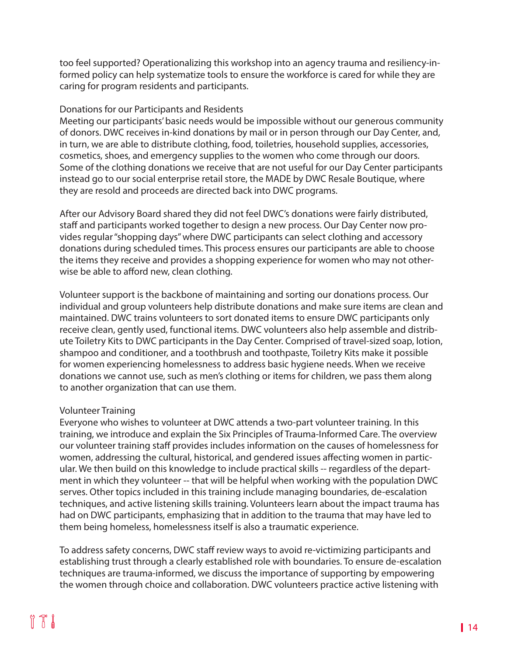too feel supported? Operationalizing this workshop into an agency trauma and resiliency-informed policy can help systematize tools to ensure the workforce is cared for while they are caring for program residents and participants.

#### Donations for our Participants and Residents

Meeting our participants' basic needs would be impossible without our generous community of donors. DWC receives in-kind donations by mail or in person through our Day Center, and, in turn, we are able to distribute clothing, food, toiletries, household supplies, accessories, cosmetics, shoes, and emergency supplies to the women who come through our doors. Some of the clothing donations we receive that are not useful for our Day Center participants instead go to our social enterprise retail store, the MADE by DWC Resale Boutique, where they are resold and proceeds are directed back into DWC programs.

After our Advisory Board shared they did not feel DWC's donations were fairly distributed, staff and participants worked together to design a new process. Our Day Center now provides regular "shopping days" where DWC participants can select clothing and accessory donations during scheduled times. This process ensures our participants are able to choose the items they receive and provides a shopping experience for women who may not otherwise be able to afford new, clean clothing.

Volunteer support is the backbone of maintaining and sorting our donations process. Our individual and group volunteers help distribute donations and make sure items are clean and maintained. DWC trains volunteers to sort donated items to ensure DWC participants only receive clean, gently used, functional items. DWC volunteers also help assemble and distribute Toiletry Kits to DWC participants in the Day Center. Comprised of travel-sized soap, lotion, shampoo and conditioner, and a toothbrush and toothpaste, Toiletry Kits make it possible for women experiencing homelessness to address basic hygiene needs. When we receive donations we cannot use, such as men's clothing or items for children, we pass them along to another organization that can use them.

#### Volunteer Training

Everyone who wishes to volunteer at DWC attends a two-part volunteer training. In this training, we introduce and explain the Six Principles of Trauma-Informed Care. The overview our volunteer training staff provides includes information on the causes of homelessness for women, addressing the cultural, historical, and gendered issues affecting women in particular. We then build on this knowledge to include practical skills -- regardless of the department in which they volunteer -- that will be helpful when working with the population DWC serves. Other topics included in this training include managing boundaries, de-escalation techniques, and active listening skills training. Volunteers learn about the impact trauma has had on DWC participants, emphasizing that in addition to the trauma that may have led to them being homeless, homelessness itself is also a traumatic experience.

To address safety concerns, DWC staff review ways to avoid re-victimizing participants and establishing trust through a clearly established role with boundaries. To ensure de-escalation techniques are trauma-informed, we discuss the importance of supporting by empowering the women through choice and collaboration. DWC volunteers practice active listening with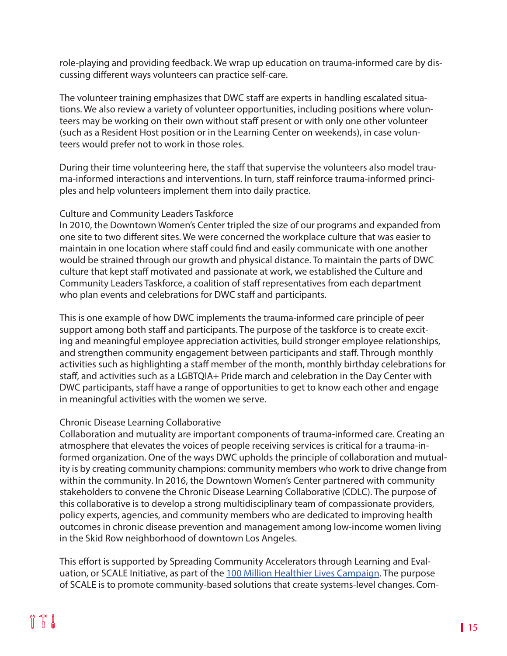role-playing and providing feedback. We wrap up education on trauma-informed care by discussing different ways volunteers can practice self-care.

The volunteer training emphasizes that DWC staff are experts in handling escalated situations. We also review a variety of volunteer opportunities, including positions where volunteers may be working on their own without staff present or with only one other volunteer (such as a Resident Host position or in the Learning Center on weekends), in case volunteers would prefer not to work in those roles.

During their time volunteering here, the staff that supervise the volunteers also model trauma-informed interactions and interventions. In turn, staff reinforce trauma-informed principles and help volunteers implement them into daily practice.

#### Culture and Community Leaders Taskforce

In 2010, the Downtown Women's Center tripled the size of our programs and expanded from one site to two different sites. We were concerned the workplace culture that was easier to maintain in one location where staff could find and easily communicate with one another would be strained through our growth and physical distance. To maintain the parts of DWC culture that kept staff motivated and passionate at work, we established the Culture and Community Leaders Taskforce, a coalition of staff representatives from each department who plan events and celebrations for DWC staff and participants.

This is one example of how DWC implements the trauma-informed care principle of peer support among both staff and participants. The purpose of the taskforce is to create exciting and meaningful employee appreciation activities, build stronger employee relationships, and strengthen community engagement between participants and staff. Through monthly activities such as highlighting a staff member of the month, monthly birthday celebrations for staff, and activities such as a LGBTQIA+ Pride march and celebration in the Day Center with DWC participants, staff have a range of opportunities to get to know each other and engage in meaningful activities with the women we serve.

#### Chronic Disease Learning Collaborative

Collaboration and mutuality are important components of trauma-informed care. Creating an atmosphere that elevates the voices of people receiving services is critical for a trauma-informed organization. One of the ways DWC upholds the principle of collaboration and mutuality is by creating community champions: community members who work to drive change from within the community. In 2016, the Downtown Women's Center partnered with community stakeholders to convene the Chronic Disease Learning Collaborative (CDLC). The purpose of this collaborative is to develop a strong multidisciplinary team of compassionate providers, policy experts, agencies, and community members who are dedicated to improving health outcomes in chronic disease prevention and management among low-income women living in the Skid Row neighborhood of downtown Los Angeles.

This effort is supported by Spreading Community Accelerators through Learning and Eval-uation, or SCALE Initiative, as part of the [100 Million Healthier Lives Campaign](https://www.100mlives.org/). The purpose of SCALE is to promote community-based solutions that create systems-level changes. Com-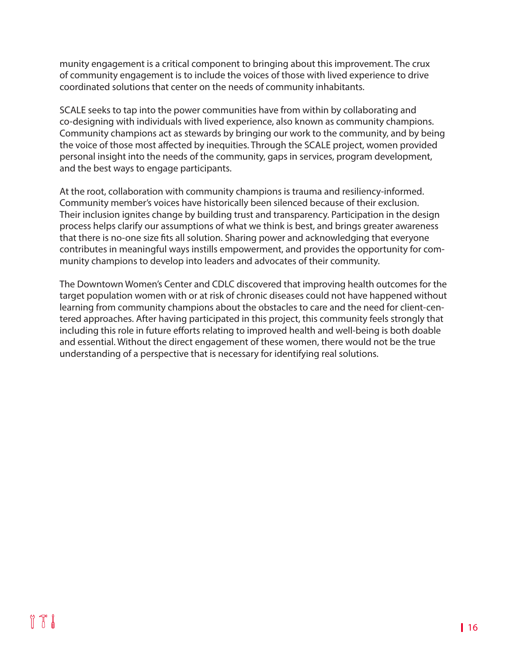munity engagement is a critical component to bringing about this improvement. The crux of community engagement is to include the voices of those with lived experience to drive coordinated solutions that center on the needs of community inhabitants.

SCALE seeks to tap into the power communities have from within by collaborating and co-designing with individuals with lived experience, also known as community champions. Community champions act as stewards by bringing our work to the community, and by being the voice of those most affected by inequities. Through the SCALE project, women provided personal insight into the needs of the community, gaps in services, program development, and the best ways to engage participants.

At the root, collaboration with community champions is trauma and resiliency-informed. Community member's voices have historically been silenced because of their exclusion. Their inclusion ignites change by building trust and transparency. Participation in the design process helps clarify our assumptions of what we think is best, and brings greater awareness that there is no-one size fits all solution. Sharing power and acknowledging that everyone contributes in meaningful ways instills empowerment, and provides the opportunity for community champions to develop into leaders and advocates of their community.

The Downtown Women's Center and CDLC discovered that improving health outcomes for the target population women with or at risk of chronic diseases could not have happened without learning from community champions about the obstacles to care and the need for client-centered approaches. After having participated in this project, this community feels strongly that including this role in future efforts relating to improved health and well-being is both doable and essential. Without the direct engagement of these women, there would not be the true understanding of a perspective that is necessary for identifying real solutions.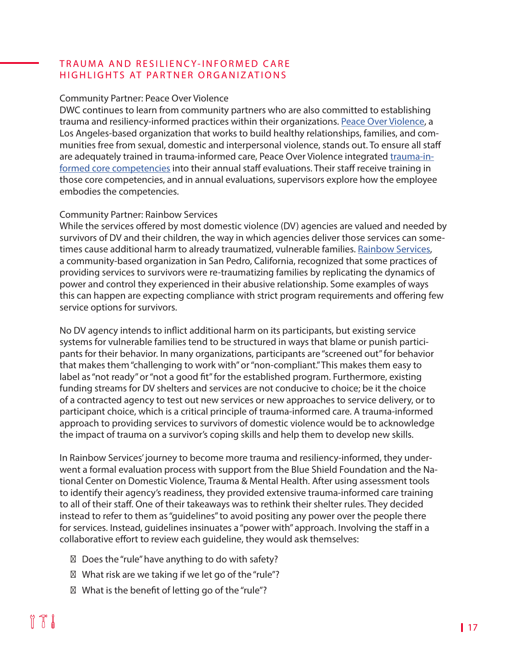#### TRAUMA AND RESILIENCY-INFORMED CARE HIGHLIGHTS AT PARTNER ORGANIZATIONS

#### Community Partner: Peace Over Violence

DWC continues to learn from community partners who are also committed to establishing trauma and resiliency-informed practices within their organizations. [Peace Over Violence,](https://www.peaceoverviolence.org/) a Los Angeles-based organization that works to build healthy relationships, families, and communities free from sexual, domestic and interpersonal violence, stands out. To ensure all staff are adequately trained in trauma-informed care, Peace Over Violence integrated [trauma-in](https://www.peaceoverviolence.org/trauma-informed-care/)[formed core competencies](https://www.peaceoverviolence.org/trauma-informed-care/) into their annual staff evaluations. Their staff receive training in those core competencies, and in annual evaluations, supervisors explore how the employee embodies the competencies.

#### Community Partner: Rainbow Services

While the services offered by most domestic violence (DV) agencies are valued and needed by survivors of DV and their children, the way in which agencies deliver those services can some-times cause additional harm to already traumatized, vulnerable families. [Rainbow Services,](https://rainbowservicesdv.org/) a community-based organization in San Pedro, California, recognized that some practices of providing services to survivors were re-traumatizing families by replicating the dynamics of power and control they experienced in their abusive relationship. Some examples of ways this can happen are expecting compliance with strict program requirements and offering few service options for survivors.

No DV agency intends to inflict additional harm on its participants, but existing service systems for vulnerable families tend to be structured in ways that blame or punish participants for their behavior. In many organizations, participants are "screened out" for behavior that makes them "challenging to work with" or "non-compliant." This makes them easy to label as "not ready" or "not a good fit" for the established program. Furthermore, existing funding streams for DV shelters and services are not conducive to choice; be it the choice of a contracted agency to test out new services or new approaches to service delivery, or to participant choice, which is a critical principle of trauma-informed care. A trauma-informed approach to providing services to survivors of domestic violence would be to acknowledge the impact of trauma on a survivor's coping skills and help them to develop new skills.

In Rainbow Services' journey to become more trauma and resiliency-informed, they underwent a formal evaluation process with support from the Blue Shield Foundation and the National Center on Domestic Violence, Trauma & Mental Health. After using assessment tools to identify their agency's readiness, they provided extensive trauma-informed care training to all of their staff. One of their takeaways was to rethink their shelter rules. They decided instead to refer to them as "guidelines" to avoid positing any power over the people there for services. Instead, guidelines insinuates a "power with" approach. Involving the staff in a collaborative effort to review each guideline, they would ask themselves:

Does the "rule" have anything to do with safety? What risk are we taking if we let go of the "rule"? What is the benefit of letting go of the "rule"?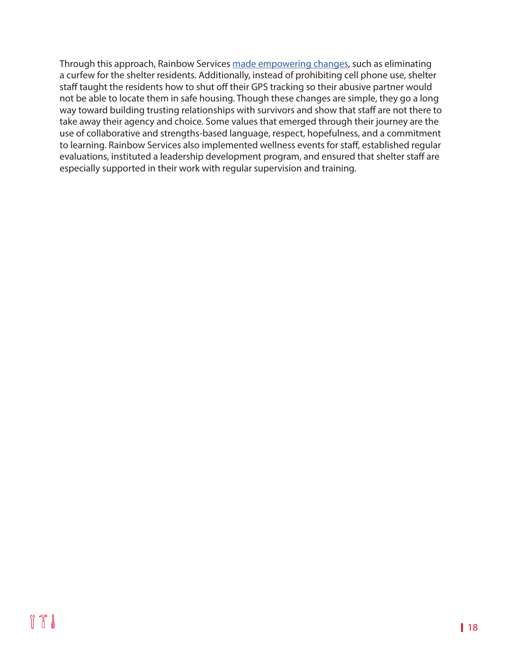Through this approach, Rainbow Services [made empowering changes,](https://rainbowservicesdv.org/wp-content/uploads/2018/07/Rainbow-Services-TIC-Evaluation-Report-NCDVTMH-Cover-7.31.18.pdf) such as eliminating a curfew for the shelter residents. Additionally, instead of prohibiting cell phone use, shelter staff taught the residents how to shut off their GPS tracking so their abusive partner would not be able to locate them in safe housing. Though these changes are simple, they go a long way toward building trusting relationships with survivors and show that staff are not there to take away their agency and choice. Some values that emerged through their journey are the use of collaborative and strengths-based language, respect, hopefulness, and a commitment to learning. Rainbow Services also implemented wellness events for staff, established regular evaluations, instituted a leadership development program, and ensured that shelter staff are especially supported in their work with regular supervision and training.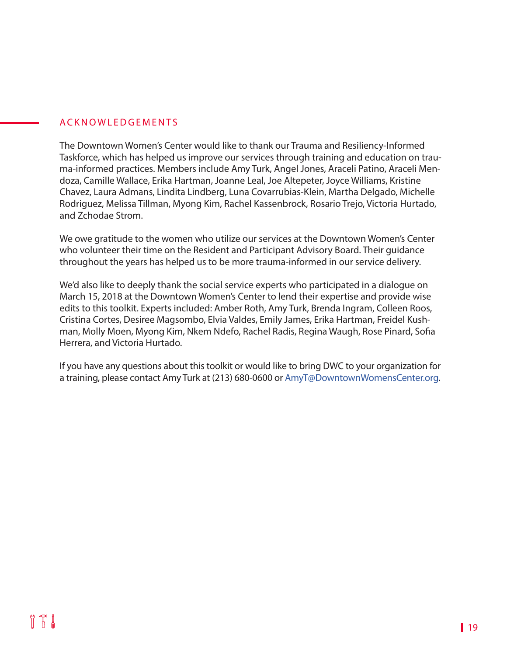#### ACKNOWLEDGEMENTS

The Downtown Women's Center would like to thank our Trauma and Resiliency-Informed Taskforce, which has helped us improve our services through training and education on trauma-informed practices. Members include Amy Turk, Angel Jones, Araceli Patino, Araceli Mendoza, Camille Wallace, Erika Hartman, Joanne Leal, Joe Altepeter, Joyce Williams, Kristine Chavez, Laura Admans, Lindita Lindberg, Luna Covarrubias-Klein, Martha Delgado, Michelle Rodriguez, Melissa Tillman, Myong Kim, Rachel Kassenbrock, Rosario Trejo, Victoria Hurtado, and Zchodae Strom.

We owe gratitude to the women who utilize our services at the Downtown Women's Center who volunteer their time on the Resident and Participant Advisory Board. Their guidance throughout the years has helped us to be more trauma-informed in our service delivery.

We'd also like to deeply thank the social service experts who participated in a dialogue on March 15, 2018 at the Downtown Women's Center to lend their expertise and provide wise edits to this toolkit. Experts included: Amber Roth, Amy Turk, Brenda Ingram, Colleen Roos, Cristina Cortes, Desiree Magsombo, Elvia Valdes, Emily James, Erika Hartman, Freidel Kushman, Molly Moen, Myong Kim, Nkem Ndefo, Rachel Radis, Regina Waugh, Rose Pinard, Sofia Herrera, and Victoria Hurtado.

If you have any questions about this toolkit or would like to bring DWC to your organization for a training, please contact Amy Turk at (213) 680-0600 or [AmyT@DowntownWomensCenter.org.](mailto:AmyT%40DowntownWomensCenter.org?subject=)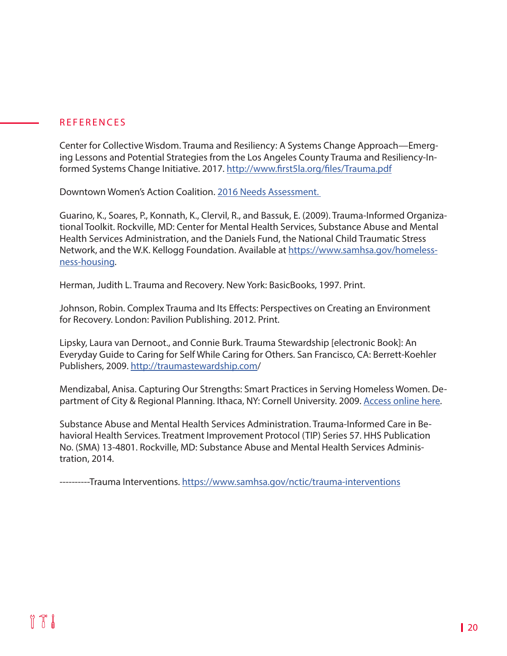#### REFERENCES

Center for Collective Wisdom. Trauma and Resiliency: A Systems Change Approach—Emerging Lessons and Potential Strategies from the Los Angeles County Trauma and Resiliency-Informed Systems Change Initiative. 2017. <http://www.first5la.org/files/Trauma.pdf>

Downtown Women's Action Coalition. [2016 Needs Assessment.](https://www.downtownwomenscenter.org/2016-needs-assessment/) 

Guarino, K., Soares, P., Konnath, K., Clervil, R., and Bassuk, E. (2009). Trauma-Informed Organizational Toolkit. Rockville, MD: Center for Mental Health Services, Substance Abuse and Mental Health Services Administration, and the Daniels Fund, the National Child Traumatic Stress Network, and the W.K. Kellogg Foundation. Available at [https://www.samhsa.gov/homeless](https://www.samhsa.gov/homelessness-housing)[ness-housing](https://www.samhsa.gov/homelessness-housing).

Herman, Judith L. Trauma and Recovery. New York: BasicBooks, 1997. Print.

Johnson, Robin. Complex Trauma and Its Effects: Perspectives on Creating an Environment for Recovery. London: Pavilion Publishing. 2012. Print.

Lipsky, Laura van Dernoot., and Connie Burk. Trauma Stewardship [electronic Book]: An Everyday Guide to Caring for Self While Caring for Others. San Francisco, CA: Berrett-Koehler Publishers, 2009. <http://traumastewardship.com>/

Mendizabal, Anisa. Capturing Our Strengths: Smart Practices in Serving Homeless Women. Department of City & Regional Planning. Ithaca, NY: Cornell University. 2009. [Access online here.](https://www.downtownwomenscenter.org/wp-content/uploads/2018/07/Capturing-our-Strengths_Smart-Practices-in-Serving-Homeless-Women.pdf)

Substance Abuse and Mental Health Services Administration. Trauma-Informed Care in Behavioral Health Services. Treatment Improvement Protocol (TIP) Series 57. HHS Publication No. (SMA) 13-4801. Rockville, MD: Substance Abuse and Mental Health Services Administration, 2014.

----------Trauma Interventions. [https://www.samhsa.gov/nctic/trauma](https://www.samhsa.gov/nctic/trauma-interventions
)-interventions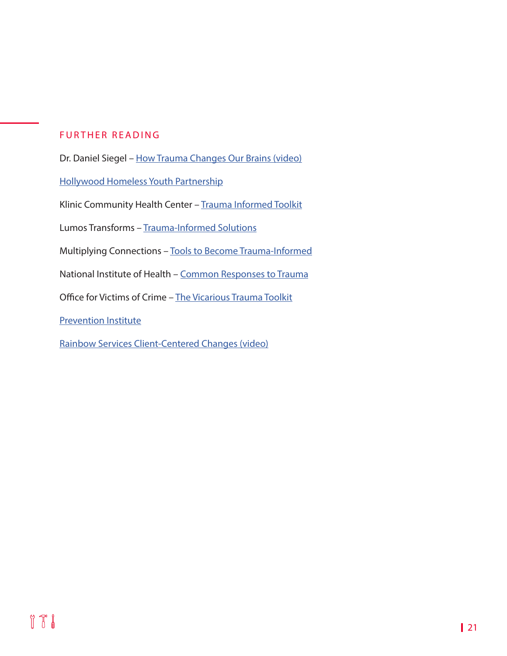#### FURTHER READING

Dr. Daniel Siegel – [How Trauma Changes Our Brains \(video\)](https://www.youtube.com/watch?v=gm9CIJ74Oxw&feature=youtu.be)

[Hollywood Homeless Youth Partnership](http://hhyp.org)

Klinic Community Health Center – [Trauma Informed Toolkit](http://trauma-informed.ca/)

Lumos Transforms - [Trauma-Informed Solutions](http://lumostransforms.com/)

Multiplying Connections – [Tools to Become Trauma-Informed](http://www.multiplyingconnections.org/become-trauma-informed/tools-become-trauma-informed)

National Institute of Health – [Common Responses to Trauma](https://www.ncbi.nlm.nih.gov/books/NBK207191/)

Office for Victims of Crime – [The Vicarious Trauma Toolkit](https://vtt.ovc.ojp.gov/)

[Prevention Institute](https://www.preventioninstitute.org/)

[Rainbow Services Client-Centered Changes \(video\)](https://www.youtube.com/watch?v=0obk_Y03APo&feature=youtu.be)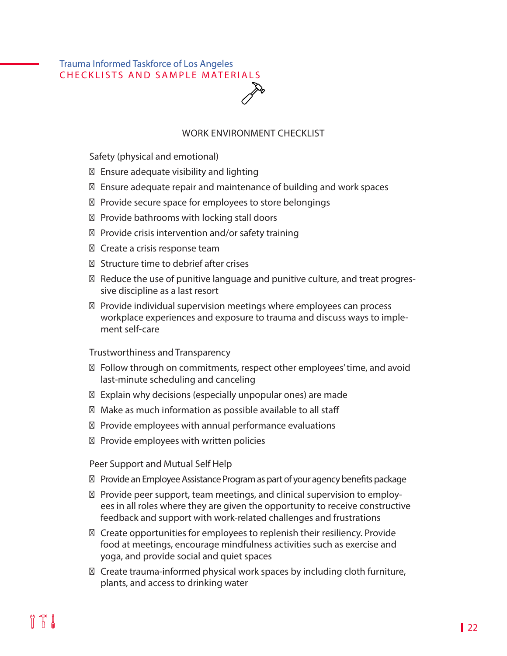## [Trauma Informed Taskforce of Los Angeles](https://traumainformedla.org/) CHECKLISTS AND SAMPLE MATERIALS

#### WORK ENVIRONMENT CHECKLIST

Safety (physical and emotional)

Ensure adequate visibility and lighting

Ensure adequate repair and maintenance of building and work spaces

Provide secure space for employees to store belongings

Provide bathrooms with locking stall doors

Provide crisis intervention and/or safety training

Create a crisis response team

Structure time to debrief after crises

Reduce the use of punitive language and punitive culture, and treat progressive discipline as a last resort

Provide individual supervision meetings where employees can process workplace experiences and exposure to trauma and discuss ways to implement self-care

Trustworthiness and Transparency

Follow through on commitments, respect other employees' time, and avoid last-minute scheduling and canceling

Explain why decisions (especially unpopular ones) are made

Make as much information as possible available to all staff

Provide employees with annual performance evaluations

Provide employees with written policies

Peer Support and Mutual Self Help

Provide an Employee Assistance Program as part of your agency benefits package

Provide peer support, team meetings, and clinical supervision to employees in all roles where they are given the opportunity to receive constructive feedback and support with work-related challenges and frustrations

Create opportunities for employees to replenish their resiliency. Provide food at meetings, encourage mindfulness activities such as exercise and yoga, and provide social and quiet spaces

Create trauma-informed physical work spaces by including cloth furniture, plants, and access to drinking water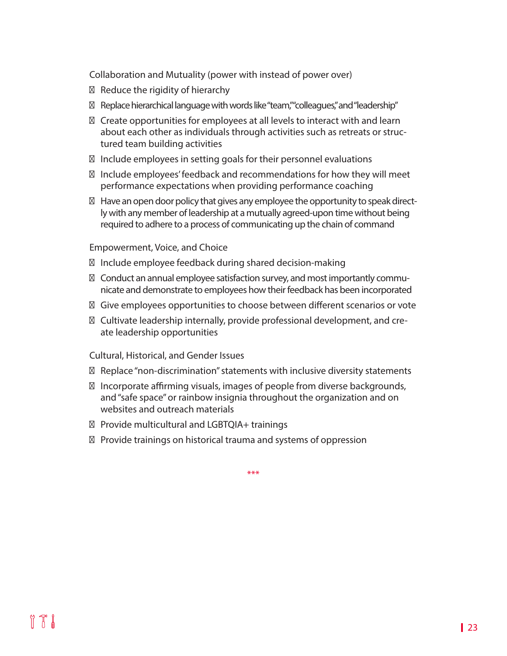Collaboration and Mutuality (power with instead of power over)

Reduce the rigidity of hierarchy

Replace hierarchical language with words like "team," "colleagues," and "leadership"

Create opportunities for employees at all levels to interact with and learn about each other as individuals through activities such as retreats or structured team building activities

Include employees in setting goals for their personnel evaluations

Include employees' feedback and recommendations for how they will meet performance expectations when providing performance coaching

Have an open door policy that gives any employee the opportunity to speak directly with any member of leadership at a mutually agreed-upon time without being required to adhere to a process of communicating up the chain of command

Empowerment, Voice, and Choice

Include employee feedback during shared decision-making

Conduct an annual employee satisfaction survey, and most importantly communicate and demonstrate to employees how their feedback has been incorporated

Give employees opportunities to choose between different scenarios or vote

Cultivate leadership internally, provide professional development, and create leadership opportunities

Cultural, Historical, and Gender Issues

Replace "non-discrimination" statements with inclusive diversity statements

Incorporate affirming visuals, images of people from diverse backgrounds, and "safe space" or rainbow insignia throughout the organization and on websites and outreach materials

Provide multicultural and LGBTQIA+ trainings

Provide trainings on historical trauma and systems of oppression

\*\*\*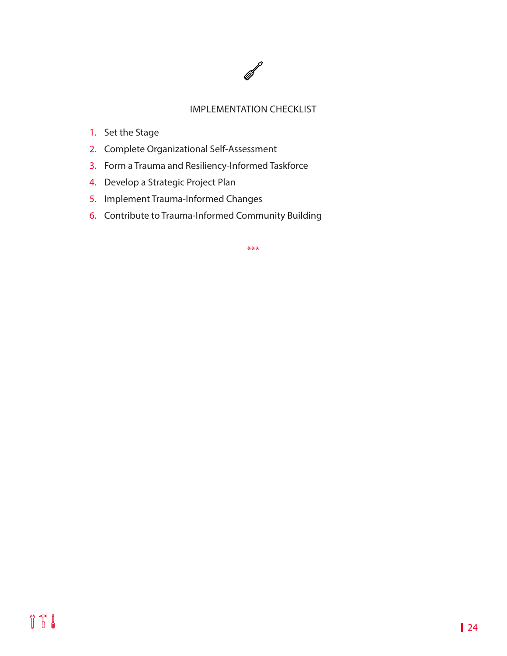

#### IMPLEMENTATION CHECKLIST

- 1. Set the Stage
- 2. Complete Organizational Self-Assessment
- 3. Form a Trauma and Resiliency-Informed Taskforce
- 4. Develop a Strategic Project Plan
- 5. Implement Trauma-Informed Changes
- 6. Contribute to Trauma-Informed Community Building

\*\*\*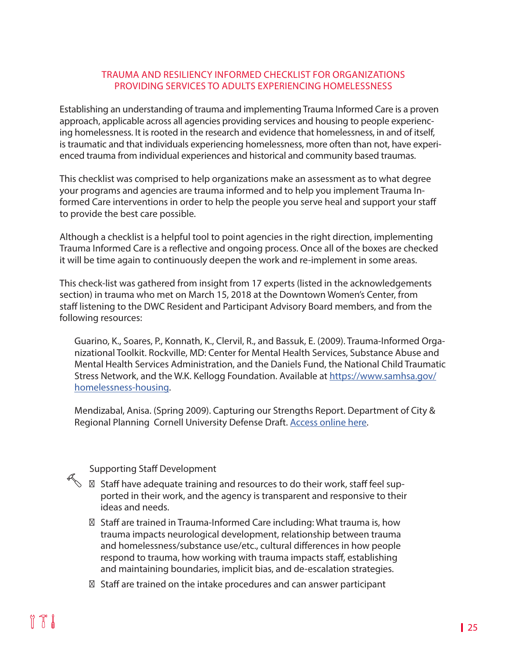#### TRAUMA AND RESILIENCY INFORMED CHECKLIST FOR ORGANIZATIONS PROVIDING SERVICES TO ADULTS EXPERIENCING HOMELESSNESS

Establishing an understanding of trauma and implementing Trauma Informed Care is a proven approach, applicable across all agencies providing services and housing to people experiencing homelessness. It is rooted in the research and evidence that homelessness, in and of itself, is traumatic and that individuals experiencing homelessness, more often than not, have experienced trauma from individual experiences and historical and community based traumas.

This checklist was comprised to help organizations make an assessment as to what degree your programs and agencies are trauma informed and to help you implement Trauma Informed Care interventions in order to help the people you serve heal and support your staff to provide the best care possible.

Although a checklist is a helpful tool to point agencies in the right direction, implementing Trauma Informed Care is a reflective and ongoing process. Once all of the boxes are checked it will be time again to continuously deepen the work and re-implement in some areas.

This check-list was gathered from insight from 17 experts (listed in the acknowledgements section) in trauma who met on March 15, 2018 at the Downtown Women's Center, from staff listening to the DWC Resident and Participant Advisory Board members, and from the following resources:

Guarino, K., Soares, P., Konnath, K., Clervil, R., and Bassuk, E. (2009). Trauma-Informed Organizational Toolkit. Rockville, MD: Center for Mental Health Services, Substance Abuse and Mental Health Services Administration, and the Daniels Fund, the National Child Traumatic Stress Network, and the W.K. Kellogg Foundation. Available at [https://www.samhsa.gov/](https://www.samhsa.gov/homelessness-housing) [homelessness-housing](https://www.samhsa.gov/homelessness-housing).

Mendizabal, Anisa. (Spring 2009). Capturing our Strengths Report. Department of City & Regional Planning Cornell University Defense Draft. [Access online here.](https://www.downtownwomenscenter.org/wp-content/uploads/2018/07/Capturing-our-Strengths_Smart-Practices-in-Serving-Homeless-Women.pdf )

#### Supporting Staff Development

Staff have adequate training and resources to do their work, staff feel supported in their work, and the agency is transparent and responsive to their ideas and needs.

Staff are trained in Trauma-Informed Care including: What trauma is, how trauma impacts neurological development, relationship between trauma and homelessness/substance use/etc., cultural differences in how people respond to trauma, how working with trauma impacts staff, establishing and maintaining boundaries, implicit bias, and de-escalation strategies.

Staff are trained on the intake procedures and can answer participant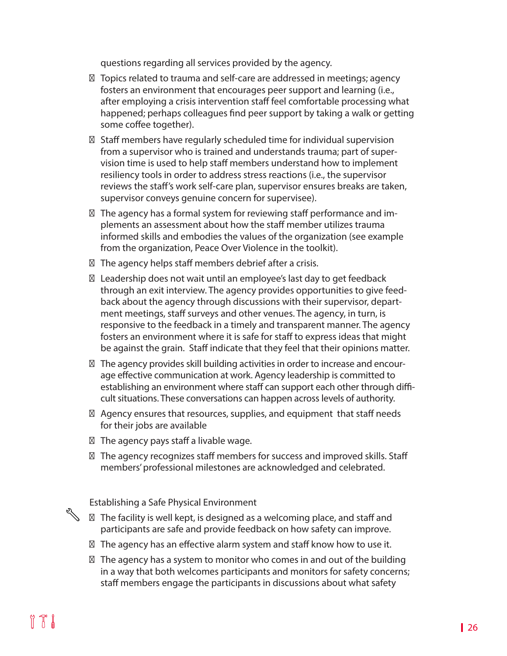questions regarding all services provided by the agency.

Topics related to trauma and self-care are addressed in meetings; agency fosters an environment that encourages peer support and learning (i.e., after employing a crisis intervention staff feel comfortable processing what happened; perhaps colleagues find peer support by taking a walk or getting some coffee together).

Staff members have regularly scheduled time for individual supervision from a supervisor who is trained and understands trauma; part of supervision time is used to help staff members understand how to implement resiliency tools in order to address stress reactions (i.e., the supervisor reviews the staff's work self-care plan, supervisor ensures breaks are taken, supervisor conveys genuine concern for supervisee).

The agency has a formal system for reviewing staff performance and implements an assessment about how the staff member utilizes trauma informed skills and embodies the values of the organization (see example from the organization, Peace Over Violence in the toolkit).

The agency helps staff members debrief after a crisis.

Leadership does not wait until an employee's last day to get feedback through an exit interview. The agency provides opportunities to give feedback about the agency through discussions with their supervisor, department meetings, staff surveys and other venues. The agency, in turn, is responsive to the feedback in a timely and transparent manner. The agency fosters an environment where it is safe for staff to express ideas that might be against the grain. Staff indicate that they feel that their opinions matter.

The agency provides skill building activities in order to increase and encourage effective communication at work. Agency leadership is committed to establishing an environment where staff can support each other through difficult situations. These conversations can happen across levels of authority.

Agency ensures that resources, supplies, and equipment that staff needs for their jobs are available

The agency pays staff a livable wage.

The agency recognizes staff members for success and improved skills. Staff members' professional milestones are acknowledged and celebrated.

Establishing a Safe Physical Environment

The facility is well kept, is designed as a welcoming place, and staff and participants are safe and provide feedback on how safety can improve.

The agency has an effective alarm system and staff know how to use it.

The agency has a system to monitor who comes in and out of the building in a way that both welcomes participants and monitors for safety concerns; staff members engage the participants in discussions about what safety

R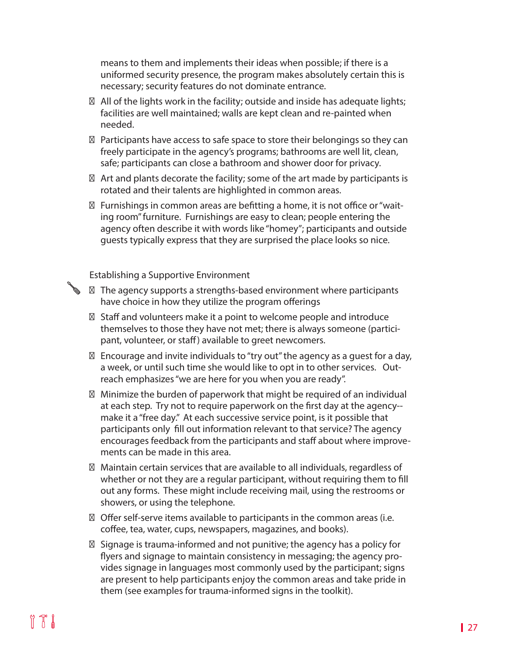means to them and implements their ideas when possible; if there is a uniformed security presence, the program makes absolutely certain this is necessary; security features do not dominate entrance.

All of the lights work in the facility; outside and inside has adequate lights; facilities are well maintained; walls are kept clean and re-painted when needed.

Participants have access to safe space to store their belongings so they can freely participate in the agency's programs; bathrooms are well lit, clean, safe; participants can close a bathroom and shower door for privacy.

Art and plants decorate the facility; some of the art made by participants is rotated and their talents are highlighted in common areas.

Furnishings in common areas are befitting a home, it is not office or "waiting room" furniture. Furnishings are easy to clean; people entering the agency often describe it with words like "homey"; participants and outside guests typically express that they are surprised the place looks so nice.

Establishing a Supportive Environment

Ø

The agency supports a strengths-based environment where participants have choice in how they utilize the program offerings

Staff and volunteers make it a point to welcome people and introduce themselves to those they have not met; there is always someone (participant, volunteer, or staff) available to greet newcomers.

Encourage and invite individuals to "try out" the agency as a guest for a day, a week, or until such time she would like to opt in to other services. Outreach emphasizes "we are here for you when you are ready".

Minimize the burden of paperwork that might be required of an individual at each step. Try not to require paperwork on the first day at the agency- make it a "free day." At each successive service point, is it possible that participants only fill out information relevant to that service? The agency encourages feedback from the participants and staff about where improvements can be made in this area.

Maintain certain services that are available to all individuals, regardless of whether or not they are a regular participant, without requiring them to fill out any forms. These might include receiving mail, using the restrooms or showers, or using the telephone.

Offer self-serve items available to participants in the common areas (i.e. coffee, tea, water, cups, newspapers, magazines, and books).

Signage is trauma-informed and not punitive; the agency has a policy for flyers and signage to maintain consistency in messaging; the agency provides signage in languages most commonly used by the participant; signs are present to help participants enjoy the common areas and take pride in them (see examples for trauma-informed signs in the toolkit).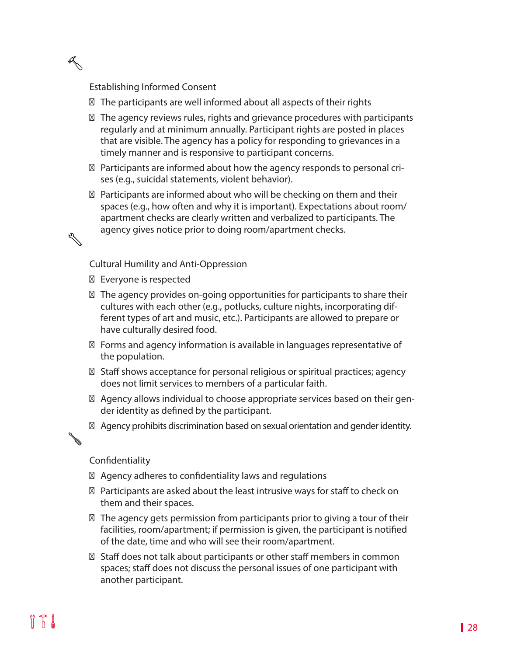Establishing Informed Consent

R

 $\mathscr{L}$ 

Ø

The participants are well informed about all aspects of their rights

The agency reviews rules, rights and grievance procedures with participants regularly and at minimum annually. Participant rights are posted in places that are visible. The agency has a policy for responding to grievances in a timely manner and is responsive to participant concerns.

Participants are informed about how the agency responds to personal crises (e.g., suicidal statements, violent behavior).

Participants are informed about who will be checking on them and their spaces (e.g., how often and why it is important). Expectations about room/ apartment checks are clearly written and verbalized to participants. The agency gives notice prior to doing room/apartment checks.

Cultural Humility and Anti-Oppression

Everyone is respected

The agency provides on-going opportunities for participants to share their cultures with each other (e.g., potlucks, culture nights, incorporating different types of art and music, etc.). Participants are allowed to prepare or have culturally desired food.

Forms and agency information is available in languages representative of the population.

Staff shows acceptance for personal religious or spiritual practices; agency does not limit services to members of a particular faith.

Agency allows individual to choose appropriate services based on their gender identity as defined by the participant.

Agency prohibits discrimination based on sexual orientation and gender identity.

#### Confidentiality

Agency adheres to confidentiality laws and regulations

Participants are asked about the least intrusive ways for staff to check on them and their spaces.

The agency gets permission from participants prior to giving a tour of their facilities, room/apartment; if permission is given, the participant is notified of the date, time and who will see their room/apartment.

Staff does not talk about participants or other staff members in common spaces; staff does not discuss the personal issues of one participant with another participant.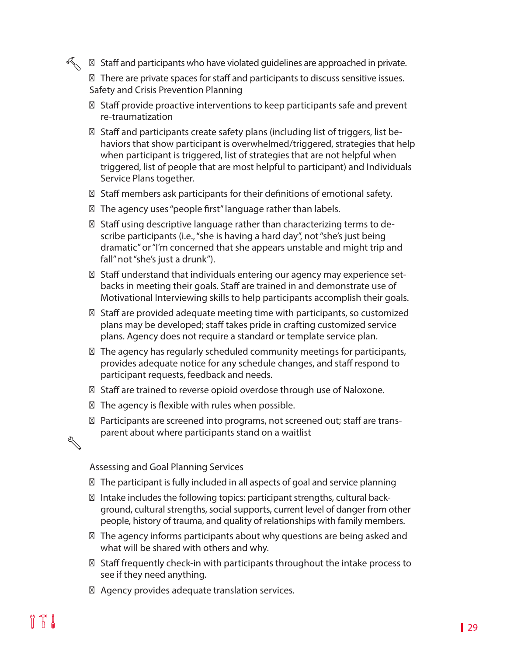Staff and participants who have violated guidelines are approached in private.

There are private spaces for staff and participants to discuss sensitive issues. Safety and Crisis Prevention Planning

Staff provide proactive interventions to keep participants safe and prevent re-traumatization

Staff and participants create safety plans (including list of triggers, list behaviors that show participant is overwhelmed/triggered, strategies that help when participant is triggered, list of strategies that are not helpful when triggered, list of people that are most helpful to participant) and Individuals Service Plans together.

Staff members ask participants for their definitions of emotional safety.

The agency uses "people first" language rather than labels.

Staff using descriptive language rather than characterizing terms to describe participants (i.e., "she is having a hard day", not "she's just being dramatic" or "I'm concerned that she appears unstable and might trip and fall" not "she's just a drunk").

Staff understand that individuals entering our agency may experience setbacks in meeting their goals. Staff are trained in and demonstrate use of Motivational Interviewing skills to help participants accomplish their goals.

Staff are provided adequate meeting time with participants, so customized plans may be developed; staff takes pride in crafting customized service plans. Agency does not require a standard or template service plan.

The agency has regularly scheduled community meetings for participants, provides adequate notice for any schedule changes, and staff respond to participant requests, feedback and needs.

Staff are trained to reverse opioid overdose through use of Naloxone.

The agency is flexible with rules when possible.

Participants are screened into programs, not screened out; staff are transparent about where participants stand on a waitlist

# 

R

Assessing and Goal Planning Services

The participant is fully included in all aspects of goal and service planning

Intake includes the following topics: participant strengths, cultural background, cultural strengths, social supports, current level of danger from other people, history of trauma, and quality of relationships with family members.

The agency informs participants about why questions are being asked and what will be shared with others and why.

Staff frequently check-in with participants throughout the intake process to see if they need anything.

Agency provides adequate translation services.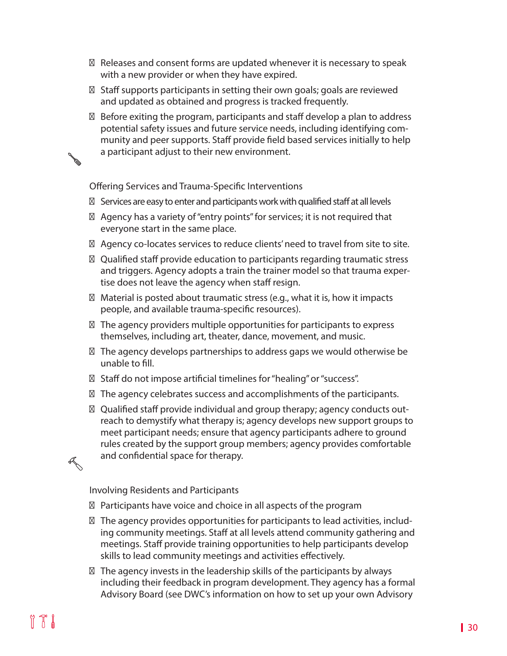Releases and consent forms are updated whenever it is necessary to speak with a new provider or when they have expired.

Staff supports participants in setting their own goals; goals are reviewed and updated as obtained and progress is tracked frequently.

Before exiting the program, participants and staff develop a plan to address potential safety issues and future service needs, including identifying community and peer supports. Staff provide field based services initially to help a participant adjust to their new environment.

Offering Services and Trauma-Specific Interventions

Services are easy to enter and participants work with qualified staff at all levels

Agency has a variety of "entry points" for services; it is not required that everyone start in the same place.

Agency co-locates services to reduce clients' need to travel from site to site.

Qualified staff provide education to participants regarding traumatic stress and triggers. Agency adopts a train the trainer model so that trauma expertise does not leave the agency when staff resign.

Material is posted about traumatic stress (e.g., what it is, how it impacts people, and available trauma-specific resources).

The agency providers multiple opportunities for participants to express themselves, including art, theater, dance, movement, and music.

The agency develops partnerships to address gaps we would otherwise be unable to fill.

Staff do not impose artificial timelines for "healing" or "success".

The agency celebrates success and accomplishments of the participants.

Qualified staff provide individual and group therapy; agency conducts outreach to demystify what therapy is; agency develops new support groups to meet participant needs; ensure that agency participants adhere to ground rules created by the support group members; agency provides comfortable and confidential space for therapy.

Involving Residents and Participants

Participants have voice and choice in all aspects of the program

The agency provides opportunities for participants to lead activities, including community meetings. Staff at all levels attend community gathering and meetings. Staff provide training opportunities to help participants develop skills to lead community meetings and activities effectively.

The agency invests in the leadership skills of the participants by always including their feedback in program development. They agency has a formal Advisory Board (see DWC's information on how to set up your own Advisory

R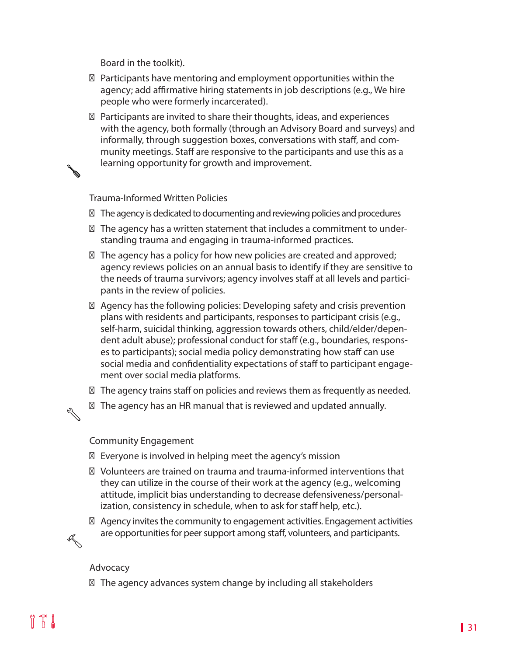Board in the toolkit).

Participants have mentoring and employment opportunities within the agency; add affirmative hiring statements in job descriptions (e.g., We hire people who were formerly incarcerated).

Participants are invited to share their thoughts, ideas, and experiences with the agency, both formally (through an Advisory Board and surveys) and informally, through suggestion boxes, conversations with staff, and community meetings. Staff are responsive to the participants and use this as a learning opportunity for growth and improvement.

Trauma-Informed Written Policies

The agency is dedicated to documenting and reviewing policies and procedures

The agency has a written statement that includes a commitment to understanding trauma and engaging in trauma-informed practices.

The agency has a policy for how new policies are created and approved; agency reviews policies on an annual basis to identify if they are sensitive to the needs of trauma survivors; agency involves staff at all levels and participants in the review of policies.

Agency has the following policies: Developing safety and crisis prevention plans with residents and participants, responses to participant crisis (e.g., self-harm, suicidal thinking, aggression towards others, child/elder/dependent adult abuse); professional conduct for staff (e.g., boundaries, responses to participants); social media policy demonstrating how staff can use social media and confidentiality expectations of staff to participant engagement over social media platforms.

The agency trains staff on policies and reviews them as frequently as needed.

The agency has an HR manual that is reviewed and updated annually.

#### Community Engagement

Everyone is involved in helping meet the agency's mission

Volunteers are trained on trauma and trauma-informed interventions that they can utilize in the course of their work at the agency (e.g., welcoming attitude, implicit bias understanding to decrease defensiveness/personalization, consistency in schedule, when to ask for staff help, etc.).

Agency invites the community to engagement activities. Engagement activities are opportunities for peer support among staff, volunteers, and participants.

#### Advocacy

 $\mathbb{Z}$ 

R

The agency advances system change by including all stakeholders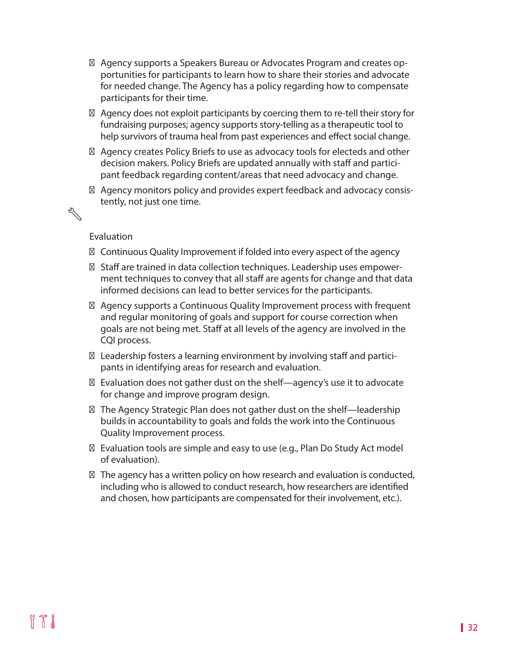Agency supports a Speakers Bureau or Advocates Program and creates opportunities for participants to learn how to share their stories and advocate for needed change. The Agency has a policy regarding how to compensate participants for their time.

Agency does not exploit participants by coercing them to re-tell their story for fundraising purposes; agency supports story-telling as a therapeutic tool to help survivors of trauma heal from past experiences and effect social change.

Agency creates Policy Briefs to use as advocacy tools for electeds and other decision makers. Policy Briefs are updated annually with staff and participant feedback regarding content/areas that need advocacy and change.

Agency monitors policy and provides expert feedback and advocacy consistently, not just one time.

#### Evaluation

R

Continuous Quality Improvement if folded into every aspect of the agency

Staff are trained in data collection techniques. Leadership uses empowerment techniques to convey that all staff are agents for change and that data informed decisions can lead to better services for the participants.

Agency supports a Continuous Quality Improvement process with frequent and regular monitoring of goals and support for course correction when goals are not being met. Staff at all levels of the agency are involved in the CQI process.

Leadership fosters a learning environment by involving staff and participants in identifying areas for research and evaluation.

Evaluation does not gather dust on the shelf—agency's use it to advocate for change and improve program design.

The Agency Strategic Plan does not gather dust on the shelf—leadership builds in accountability to goals and folds the work into the Continuous Quality Improvement process.

Evaluation tools are simple and easy to use (e.g., Plan Do Study Act model of evaluation).

The agency has a written policy on how research and evaluation is conducted, including who is allowed to conduct research, how researchers are identified and chosen, how participants are compensated for their involvement, etc.).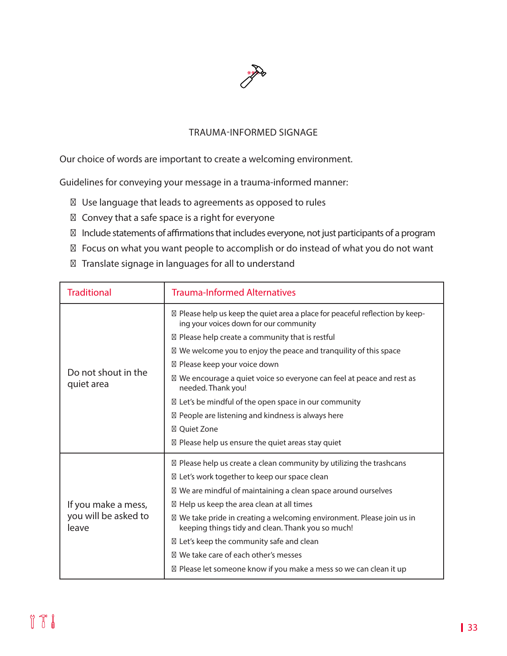

#### TRAUMA-INFORMED SIGNAGE

Our choice of words are important to create a welcoming environment.

Guidelines for conveying your message in a trauma-informed manner:

Use language that leads to agreements as opposed to rules

Convey that a safe space is a right for everyone

Include statements of affirmations that includes everyone, not just participants of a program Focus on what you want people to accomplish or do instead of what you do not want Translate signage in languages for all to understand

| <b>Traditional</b>                                   | <b>Trauma-Informed Alternatives</b>                                                                                       |
|------------------------------------------------------|---------------------------------------------------------------------------------------------------------------------------|
| Do not shout in the<br>quiet area                    | Please help us keep the quiet area a place for peaceful reflection by keep-<br>ing your voices down for our community     |
|                                                      | Please help create a community that is restful                                                                            |
|                                                      | We welcome you to enjoy the peace and tranquility of this space                                                           |
|                                                      | Please keep your voice down                                                                                               |
|                                                      | We encourage a quiet voice so everyone can feel at peace and rest as<br>needed. Thank you!                                |
|                                                      | Let's be mindful of the open space in our community                                                                       |
|                                                      | People are listening and kindness is always here                                                                          |
|                                                      | <b>Oujet Zone</b>                                                                                                         |
|                                                      | Please help us ensure the quiet areas stay quiet                                                                          |
| If you make a mess,<br>you will be asked to<br>leave | Please help us create a clean community by utilizing the trashcans                                                        |
|                                                      | Let's work together to keep our space clean                                                                               |
|                                                      | We are mindful of maintaining a clean space around ourselves                                                              |
|                                                      | Help us keep the area clean at all times                                                                                  |
|                                                      | We take pride in creating a welcoming environment. Please join us in<br>keeping things tidy and clean. Thank you so much! |
|                                                      | Let's keep the community safe and clean                                                                                   |
|                                                      | We take care of each other's messes                                                                                       |
|                                                      | Please let someone know if you make a mess so we can clean it up                                                          |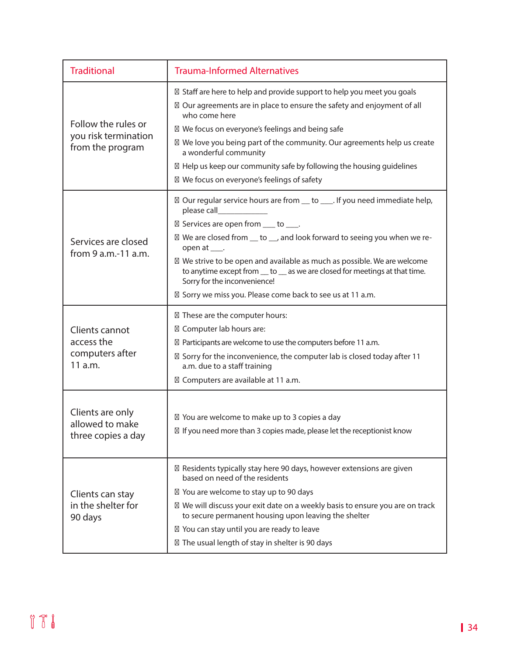| <b>Traditional</b>                                              | <b>Trauma-Informed Alternatives</b>                                                                                                                                                                                                                                                                                                                                                                                                                                              |
|-----------------------------------------------------------------|----------------------------------------------------------------------------------------------------------------------------------------------------------------------------------------------------------------------------------------------------------------------------------------------------------------------------------------------------------------------------------------------------------------------------------------------------------------------------------|
| Follow the rules or<br>you risk termination<br>from the program | Staff are here to help and provide support to help you meet you goals<br>Our agreements are in place to ensure the safety and enjoyment of all<br>who come here<br>We focus on everyone's feelings and being safe<br>We love you being part of the community. Our agreements help us create<br>a wonderful community<br>Help us keep our community safe by following the housing guidelines<br>We focus on everyone's feelings of safety                                         |
| Services are closed<br>from 9 a.m.-11 a.m.                      | Our regular service hours are from __ to ____. If you need immediate help,<br>please call<br>Services are open from ___ to ___.<br>We are closed from __ to __, and look forward to seeing you when we re-<br>open at ____.<br>We strive to be open and available as much as possible. We are welcome<br>to anytime except from __ to __ as we are closed for meetings at that time.<br>Sorry for the inconvenience!<br>Sorry we miss you. Please come back to see us at 11 a.m. |
| Clients cannot<br>access the<br>computers after<br>$11$ a.m.    | These are the computer hours:<br>Computer lab hours are:<br>Participants are welcome to use the computers before 11 a.m.<br>Sorry for the inconvenience, the computer lab is closed today after 11<br>a.m. due to a staff training<br>Computers are available at 11 a.m.                                                                                                                                                                                                         |
| Clients are only<br>allowed to make<br>three copies a day       | You are welcome to make up to 3 copies a day<br>If you need more than 3 copies made, please let the receptionist know                                                                                                                                                                                                                                                                                                                                                            |
| Clients can stay<br>in the shelter for<br>90 days               | Residents typically stay here 90 days, however extensions are given<br>based on need of the residents<br>You are welcome to stay up to 90 days<br>We will discuss your exit date on a weekly basis to ensure you are on track<br>to secure permanent housing upon leaving the shelter<br>You can stay until you are ready to leave<br>The usual length of stay in shelter is 90 days                                                                                             |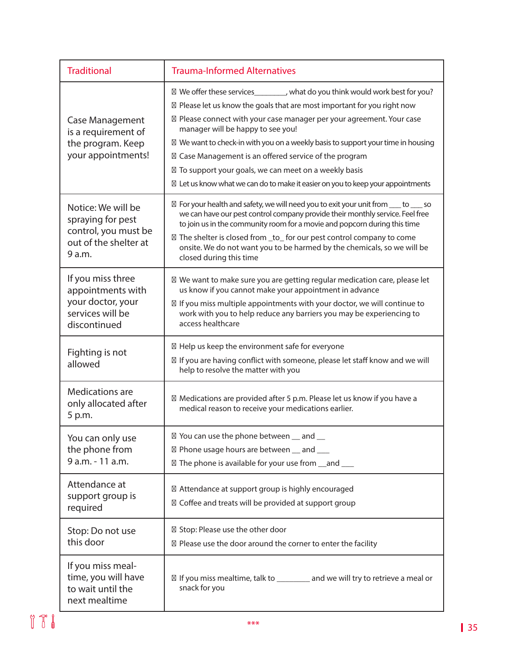| <b>Traditional</b>                                                                                 | <b>Trauma-Informed Alternatives</b>                                                                                                                                                                                                                                                                                                                                                                                                                                                                                                                   |
|----------------------------------------------------------------------------------------------------|-------------------------------------------------------------------------------------------------------------------------------------------------------------------------------------------------------------------------------------------------------------------------------------------------------------------------------------------------------------------------------------------------------------------------------------------------------------------------------------------------------------------------------------------------------|
| <b>Case Management</b><br>is a requirement of<br>the program. Keep<br>your appointments!           | We offer these services_________, what do you think would work best for you?<br>Please let us know the goals that are most important for you right now<br>Please connect with your case manager per your agreement. Your case<br>manager will be happy to see you!<br>We want to check-in with you on a weekly basis to support your time in housing<br>Case Management is an offered service of the program<br>To support your goals, we can meet on a weekly basis<br>Let us know what we can do to make it easier on you to keep your appointments |
| Notice: We will be<br>spraying for pest<br>control, you must be<br>out of the shelter at<br>9 a.m. | For your health and safety, we will need you to exit your unit from ____ to ____ so<br>we can have our pest control company provide their monthly service. Feel free<br>to join us in the community room for a movie and popcorn during this time<br>The shelter is closed from _to_ for our pest control company to come<br>onsite. We do not want you to be harmed by the chemicals, so we will be<br>closed during this time                                                                                                                       |
| If you miss three<br>appointments with<br>your doctor, your<br>services will be<br>discontinued    | We want to make sure you are getting regular medication care, please let<br>us know if you cannot make your appointment in advance<br>If you miss multiple appointments with your doctor, we will continue to<br>work with you to help reduce any barriers you may be experiencing to<br>access healthcare                                                                                                                                                                                                                                            |
| Fighting is not<br>allowed                                                                         | Help us keep the environment safe for everyone<br>If you are having conflict with someone, please let staff know and we will<br>help to resolve the matter with you                                                                                                                                                                                                                                                                                                                                                                                   |
| Medications are<br>only allocated after<br>5 p.m.                                                  | Medications are provided after 5 p.m. Please let us know if you have a<br>medical reason to receive your medications earlier.                                                                                                                                                                                                                                                                                                                                                                                                                         |
| You can only use<br>the phone from<br>9 a.m. - 11 a.m.                                             | You can use the phone between _ and _<br>Phone usage hours are between _ and __<br>The phone is available for your use from _and __                                                                                                                                                                                                                                                                                                                                                                                                                   |
| Attendance at<br>support group is<br>required                                                      | Attendance at support group is highly encouraged<br>Coffee and treats will be provided at support group                                                                                                                                                                                                                                                                                                                                                                                                                                               |
| Stop: Do not use<br>this door                                                                      | Stop: Please use the other door<br>Please use the door around the corner to enter the facility                                                                                                                                                                                                                                                                                                                                                                                                                                                        |
| If you miss meal-<br>time, you will have<br>to wait until the<br>next mealtime                     | If you miss mealtime, talk to ________ and we will try to retrieve a meal or<br>snack for you                                                                                                                                                                                                                                                                                                                                                                                                                                                         |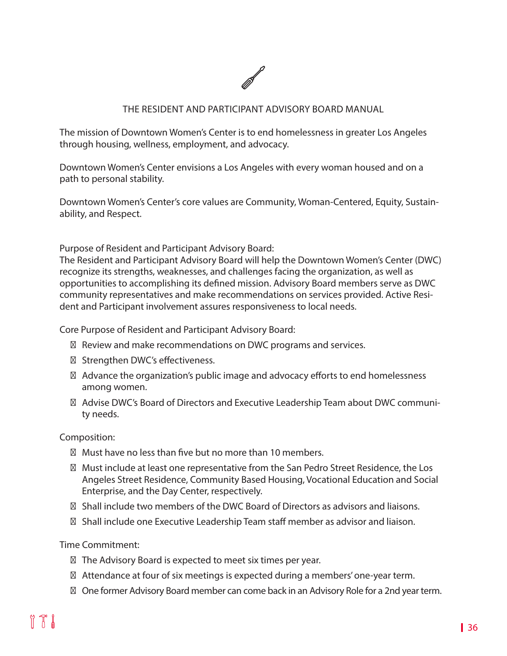

#### THE RESIDENT AND PARTICIPANT ADVISORY BOARD MANUAL

The mission of Downtown Women's Center is to end homelessness in greater Los Angeles through housing, wellness, employment, and advocacy.

Downtown Women's Center envisions a Los Angeles with every woman housed and on a path to personal stability.

Downtown Women's Center's core values are Community, Woman-Centered, Equity, Sustainability, and Respect.

Purpose of Resident and Participant Advisory Board:

The Resident and Participant Advisory Board will help the Downtown Women's Center (DWC) recognize its strengths, weaknesses, and challenges facing the organization, as well as opportunities to accomplishing its defined mission. Advisory Board members serve as DWC community representatives and make recommendations on services provided. Active Resident and Participant involvement assures responsiveness to local needs.

Core Purpose of Resident and Participant Advisory Board:

Review and make recommendations on DWC programs and services.

Strengthen DWC's effectiveness.

Advance the organization's public image and advocacy efforts to end homelessness among women.

Advise DWC's Board of Directors and Executive Leadership Team about DWC community needs.

#### Composition:

Must have no less than five but no more than 10 members.

Must include at least one representative from the San Pedro Street Residence, the Los Angeles Street Residence, Community Based Housing, Vocational Education and Social Enterprise, and the Day Center, respectively.

Shall include two members of the DWC Board of Directors as advisors and liaisons.

Shall include one Executive Leadership Team staff member as advisor and liaison.

Time Commitment:

The Advisory Board is expected to meet six times per year.

Attendance at four of six meetings is expected during a members' one-year term.

One former Advisory Board member can come back in an Advisory Role for a 2nd year term.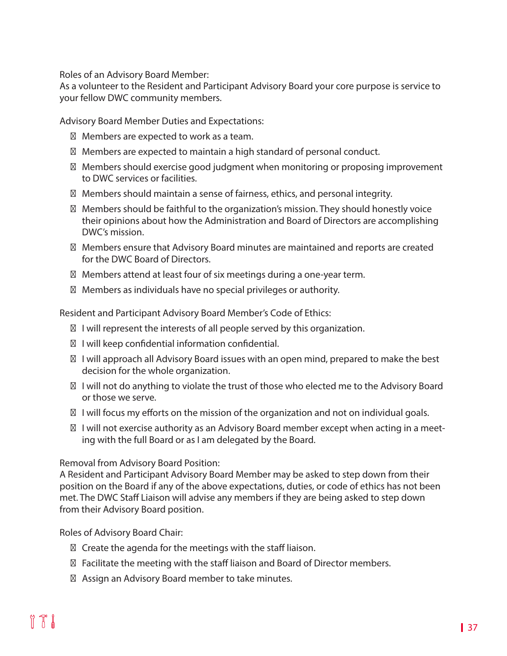Roles of an Advisory Board Member:

As a volunteer to the Resident and Participant Advisory Board your core purpose is service to your fellow DWC community members.

Advisory Board Member Duties and Expectations:

Members are expected to work as a team.

Members are expected to maintain a high standard of personal conduct.

Members should exercise good judgment when monitoring or proposing improvement to DWC services or facilities.

Members should maintain a sense of fairness, ethics, and personal integrity.

Members should be faithful to the organization's mission. They should honestly voice their opinions about how the Administration and Board of Directors are accomplishing DWC's mission.

Members ensure that Advisory Board minutes are maintained and reports are created for the DWC Board of Directors.

Members attend at least four of six meetings during a one-year term.

Members as individuals have no special privileges or authority.

Resident and Participant Advisory Board Member's Code of Ethics:

I will represent the interests of all people served by this organization.

I will keep confidential information confidential.

I will approach all Advisory Board issues with an open mind, prepared to make the best decision for the whole organization.

I will not do anything to violate the trust of those who elected me to the Advisory Board or those we serve.

I will focus my efforts on the mission of the organization and not on individual goals.

I will not exercise authority as an Advisory Board member except when acting in a meeting with the full Board or as I am delegated by the Board.

Removal from Advisory Board Position:

A Resident and Participant Advisory Board Member may be asked to step down from their position on the Board if any of the above expectations, duties, or code of ethics has not been met. The DWC Staff Liaison will advise any members if they are being asked to step down from their Advisory Board position.

Roles of Advisory Board Chair:

Create the agenda for the meetings with the staff liaison.

Facilitate the meeting with the staff liaison and Board of Director members.

Assign an Advisory Board member to take minutes.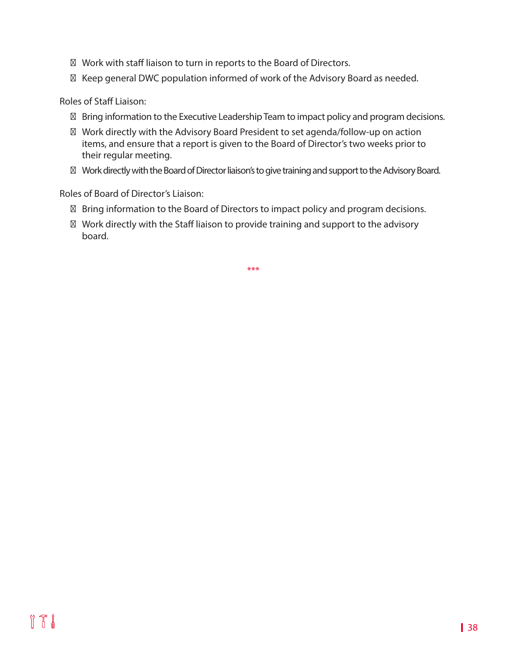Work with staff liaison to turn in reports to the Board of Directors. Keep general DWC population informed of work of the Advisory Board as needed.

Roles of Staff Liaison:

Bring information to the Executive Leadership Team to impact policy and program decisions.

Work directly with the Advisory Board President to set agenda/follow-up on action items, and ensure that a report is given to the Board of Director's two weeks prior to their regular meeting.

Work directly with the Board of Director liaison's to give training and support to the Advisory Board.

Roles of Board of Director's Liaison:

Bring information to the Board of Directors to impact policy and program decisions.

Work directly with the Staff liaison to provide training and support to the advisory board.

\*\*\*